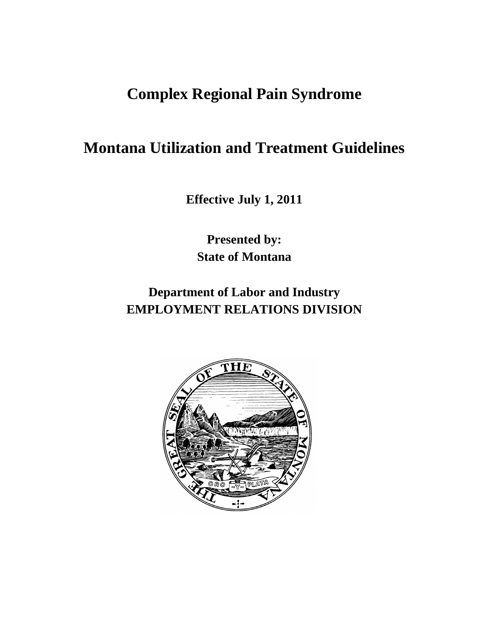# **Complex Regional Pain Syndrome**

# **Montana Utilization and Treatment Guidelines**

**Effective July 1, 2011**

**Presented by: State of Montana**

**Department of Labor and Industry EMPLOYMENT RELATIONS DIVISION**

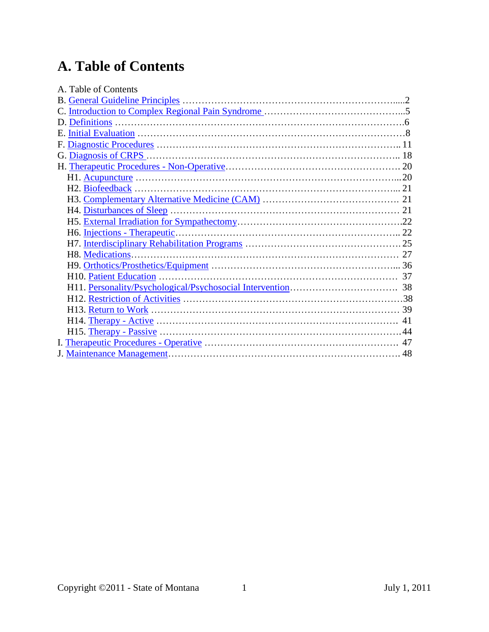# **A. Table of Contents**

| A. Table of Contents |  |
|----------------------|--|
|                      |  |
|                      |  |
|                      |  |
|                      |  |
|                      |  |
|                      |  |
|                      |  |
|                      |  |
|                      |  |
|                      |  |
|                      |  |
|                      |  |
|                      |  |
|                      |  |
|                      |  |
|                      |  |
|                      |  |
|                      |  |
|                      |  |
|                      |  |
|                      |  |
|                      |  |
|                      |  |
|                      |  |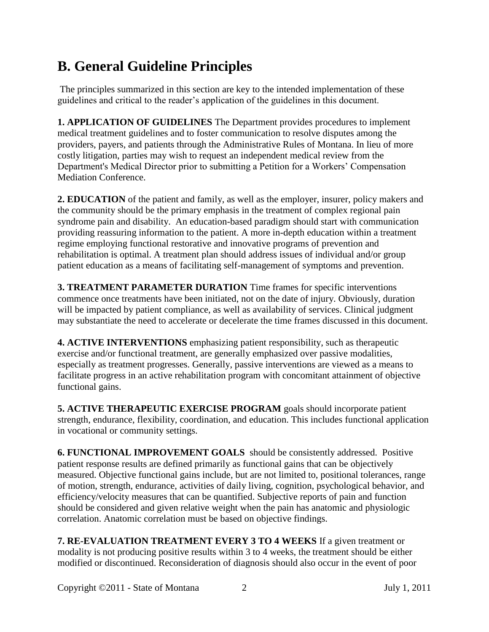# <span id="page-2-0"></span>**B. General Guideline Principles**

The principles summarized in this section are key to the intended implementation of these guidelines and critical to the reader's application of the guidelines in this document.

**1. APPLICATION OF GUIDELINES** The Department provides procedures to implement medical treatment guidelines and to foster communication to resolve disputes among the providers, payers, and patients through the Administrative Rules of Montana. In lieu of more costly litigation, parties may wish to request an independent medical review from the Department's Medical Director prior to submitting a Petition for a Workers' Compensation Mediation Conference.

**2. EDUCATION** of the patient and family, as well as the employer, insurer, policy makers and the community should be the primary emphasis in the treatment of complex regional pain syndrome pain and disability. An education-based paradigm should start with communication providing reassuring information to the patient. A more in-depth education within a treatment regime employing functional restorative and innovative programs of prevention and rehabilitation is optimal. A treatment plan should address issues of individual and/or group patient education as a means of facilitating self-management of symptoms and prevention.

**3. TREATMENT PARAMETER DURATION** Time frames for specific interventions commence once treatments have been initiated, not on the date of injury. Obviously, duration will be impacted by patient compliance, as well as availability of services. Clinical judgment may substantiate the need to accelerate or decelerate the time frames discussed in this document.

**4. ACTIVE INTERVENTIONS** emphasizing patient responsibility, such as therapeutic exercise and/or functional treatment, are generally emphasized over passive modalities, especially as treatment progresses. Generally, passive interventions are viewed as a means to facilitate progress in an active rehabilitation program with concomitant attainment of objective functional gains.

**5. ACTIVE THERAPEUTIC EXERCISE PROGRAM** goals should incorporate patient strength, endurance, flexibility, coordination, and education. This includes functional application in vocational or community settings.

**6. FUNCTIONAL IMPROVEMENT GOALS** should be consistently addressed. Positive patient response results are defined primarily as functional gains that can be objectively measured. Objective functional gains include, but are not limited to, positional tolerances, range of motion, strength, endurance, activities of daily living, cognition, psychological behavior, and efficiency/velocity measures that can be quantified. Subjective reports of pain and function should be considered and given relative weight when the pain has anatomic and physiologic correlation. Anatomic correlation must be based on objective findings.

**7. RE-EVALUATION TREATMENT EVERY 3 TO 4 WEEKS** If a given treatment or modality is not producing positive results within 3 to 4 weeks, the treatment should be either modified or discontinued. Reconsideration of diagnosis should also occur in the event of poor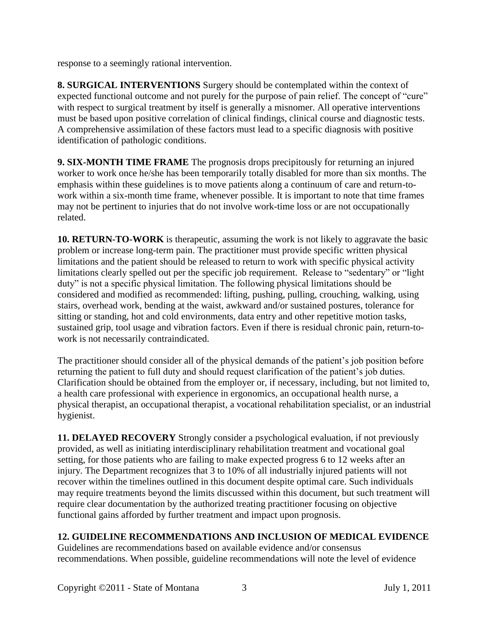response to a seemingly rational intervention.

**8. SURGICAL INTERVENTIONS** Surgery should be contemplated within the context of expected functional outcome and not purely for the purpose of pain relief. The concept of "cure" with respect to surgical treatment by itself is generally a misnomer. All operative interventions must be based upon positive correlation of clinical findings, clinical course and diagnostic tests. A comprehensive assimilation of these factors must lead to a specific diagnosis with positive identification of pathologic conditions.

**9. SIX-MONTH TIME FRAME** The prognosis drops precipitously for returning an injured worker to work once he/she has been temporarily totally disabled for more than six months. The emphasis within these guidelines is to move patients along a continuum of care and return-towork within a six-month time frame, whenever possible. It is important to note that time frames may not be pertinent to injuries that do not involve work-time loss or are not occupationally related.

**10. RETURN-TO-WORK** is therapeutic, assuming the work is not likely to aggravate the basic problem or increase long-term pain. The practitioner must provide specific written physical limitations and the patient should be released to return to work with specific physical activity limitations clearly spelled out per the specific job requirement. Release to "sedentary" or "light duty" is not a specific physical limitation. The following physical limitations should be considered and modified as recommended: lifting, pushing, pulling, crouching, walking, using stairs, overhead work, bending at the waist, awkward and/or sustained postures, tolerance for sitting or standing, hot and cold environments, data entry and other repetitive motion tasks, sustained grip, tool usage and vibration factors. Even if there is residual chronic pain, return-towork is not necessarily contraindicated.

The practitioner should consider all of the physical demands of the patient's job position before returning the patient to full duty and should request clarification of the patient's job duties. Clarification should be obtained from the employer or, if necessary, including, but not limited to, a health care professional with experience in ergonomics, an occupational health nurse, a physical therapist, an occupational therapist, a vocational rehabilitation specialist, or an industrial hygienist.

**11. DELAYED RECOVERY** Strongly consider a psychological evaluation, if not previously provided, as well as initiating interdisciplinary rehabilitation treatment and vocational goal setting, for those patients who are failing to make expected progress 6 to 12 weeks after an injury. The Department recognizes that 3 to 10% of all industrially injured patients will not recover within the timelines outlined in this document despite optimal care. Such individuals may require treatments beyond the limits discussed within this document, but such treatment will require clear documentation by the authorized treating practitioner focusing on objective functional gains afforded by further treatment and impact upon prognosis.

## **12. GUIDELINE RECOMMENDATIONS AND INCLUSION OF MEDICAL EVIDENCE**

Guidelines are recommendations based on available evidence and/or consensus recommendations. When possible, guideline recommendations will note the level of evidence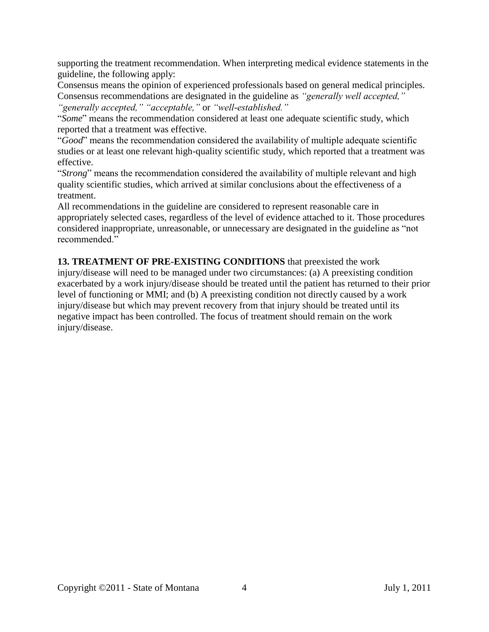supporting the treatment recommendation. When interpreting medical evidence statements in the guideline, the following apply:

Consensus means the opinion of experienced professionals based on general medical principles. Consensus recommendations are designated in the guideline as *"generally well accepted," "generally accepted," "acceptable,"* or *"well-established."*

"*Some*" means the recommendation considered at least one adequate scientific study, which reported that a treatment was effective.

"*Good*" means the recommendation considered the availability of multiple adequate scientific studies or at least one relevant high-quality scientific study, which reported that a treatment was effective.

"*Strong*" means the recommendation considered the availability of multiple relevant and high quality scientific studies, which arrived at similar conclusions about the effectiveness of a treatment.

All recommendations in the guideline are considered to represent reasonable care in appropriately selected cases, regardless of the level of evidence attached to it. Those procedures considered inappropriate, unreasonable, or unnecessary are designated in the guideline as "not recommended."

**13. TREATMENT OF PRE-EXISTING CONDITIONS** that preexisted the work injury/disease will need to be managed under two circumstances: (a) A preexisting condition exacerbated by a work injury/disease should be treated until the patient has returned to their prior level of functioning or MMI; and (b) A preexisting condition not directly caused by a work injury/disease but which may prevent recovery from that injury should be treated until its negative impact has been controlled. The focus of treatment should remain on the work injury/disease.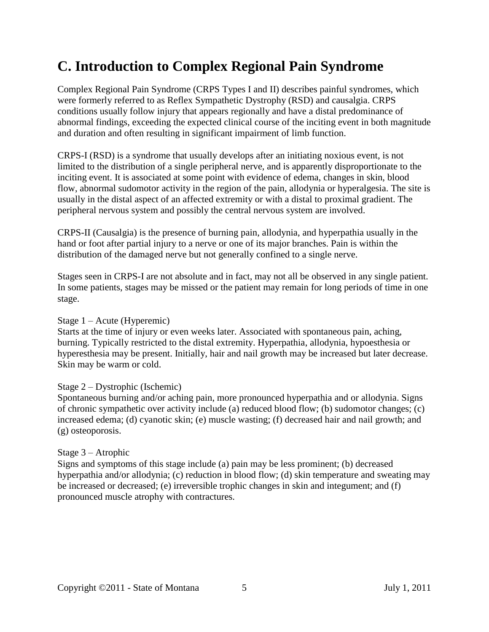# <span id="page-5-0"></span>**C. Introduction to Complex Regional Pain Syndrome**

Complex Regional Pain Syndrome (CRPS Types I and II) describes painful syndromes, which were formerly referred to as Reflex Sympathetic Dystrophy (RSD) and causalgia. CRPS conditions usually follow injury that appears regionally and have a distal predominance of abnormal findings, exceeding the expected clinical course of the inciting event in both magnitude and duration and often resulting in significant impairment of limb function.

CRPS-I (RSD) is a syndrome that usually develops after an initiating noxious event, is not limited to the distribution of a single peripheral nerve, and is apparently disproportionate to the inciting event. It is associated at some point with evidence of edema, changes in skin, blood flow, abnormal sudomotor activity in the region of the pain, allodynia or hyperalgesia. The site is usually in the distal aspect of an affected extremity or with a distal to proximal gradient. The peripheral nervous system and possibly the central nervous system are involved.

CRPS-II (Causalgia) is the presence of burning pain, allodynia, and hyperpathia usually in the hand or foot after partial injury to a nerve or one of its major branches. Pain is within the distribution of the damaged nerve but not generally confined to a single nerve.

Stages seen in CRPS-I are not absolute and in fact, may not all be observed in any single patient. In some patients, stages may be missed or the patient may remain for long periods of time in one stage.

#### Stage 1 – Acute (Hyperemic)

Starts at the time of injury or even weeks later. Associated with spontaneous pain, aching, burning. Typically restricted to the distal extremity. Hyperpathia, allodynia, hypoesthesia or hyperesthesia may be present. Initially, hair and nail growth may be increased but later decrease. Skin may be warm or cold.

#### Stage 2 – Dystrophic (Ischemic)

Spontaneous burning and/or aching pain, more pronounced hyperpathia and or allodynia. Signs of chronic sympathetic over activity include (a) reduced blood flow; (b) sudomotor changes; (c) increased edema; (d) cyanotic skin; (e) muscle wasting; (f) decreased hair and nail growth; and (g) osteoporosis.

#### Stage 3 – Atrophic

Signs and symptoms of this stage include (a) pain may be less prominent; (b) decreased hyperpathia and/or allodynia; (c) reduction in blood flow; (d) skin temperature and sweating may be increased or decreased; (e) irreversible trophic changes in skin and integument; and (f) pronounced muscle atrophy with contractures.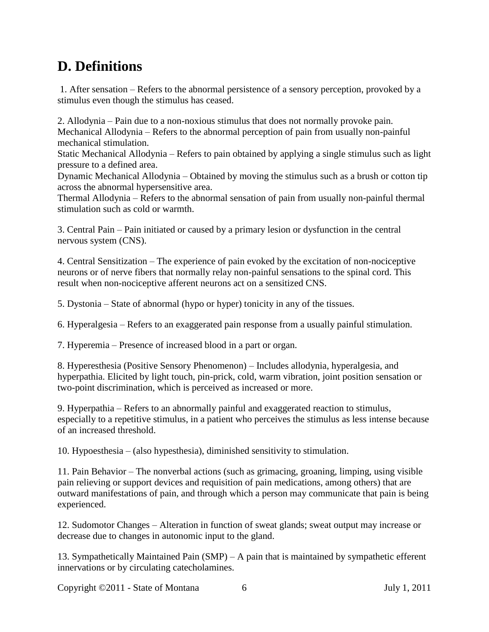# <span id="page-6-0"></span>**D. Definitions**

1. After sensation – Refers to the abnormal persistence of a sensory perception, provoked by a stimulus even though the stimulus has ceased.

2. Allodynia – Pain due to a non-noxious stimulus that does not normally provoke pain. Mechanical Allodynia – Refers to the abnormal perception of pain from usually non-painful mechanical stimulation.

Static Mechanical Allodynia – Refers to pain obtained by applying a single stimulus such as light pressure to a defined area.

Dynamic Mechanical Allodynia – Obtained by moving the stimulus such as a brush or cotton tip across the abnormal hypersensitive area.

Thermal Allodynia – Refers to the abnormal sensation of pain from usually non-painful thermal stimulation such as cold or warmth.

3. Central Pain – Pain initiated or caused by a primary lesion or dysfunction in the central nervous system (CNS).

4. Central Sensitization – The experience of pain evoked by the excitation of non-nociceptive neurons or of nerve fibers that normally relay non-painful sensations to the spinal cord. This result when non-nociceptive afferent neurons act on a sensitized CNS.

5. Dystonia – State of abnormal (hypo or hyper) tonicity in any of the tissues.

6. Hyperalgesia – Refers to an exaggerated pain response from a usually painful stimulation.

7. Hyperemia – Presence of increased blood in a part or organ.

8. Hyperesthesia (Positive Sensory Phenomenon) – Includes allodynia, hyperalgesia, and hyperpathia. Elicited by light touch, pin-prick, cold, warm vibration, joint position sensation or two-point discrimination, which is perceived as increased or more.

9. Hyperpathia – Refers to an abnormally painful and exaggerated reaction to stimulus, especially to a repetitive stimulus, in a patient who perceives the stimulus as less intense because of an increased threshold.

10. Hypoesthesia – (also hypesthesia), diminished sensitivity to stimulation.

11. Pain Behavior – The nonverbal actions (such as grimacing, groaning, limping, using visible pain relieving or support devices and requisition of pain medications, among others) that are outward manifestations of pain, and through which a person may communicate that pain is being experienced.

12. Sudomotor Changes – Alteration in function of sweat glands; sweat output may increase or decrease due to changes in autonomic input to the gland.

13. Sympathetically Maintained Pain (SMP) – A pain that is maintained by sympathetic efferent innervations or by circulating catecholamines.

Copyright ©2011 - State of Montana 6 July 1, 2011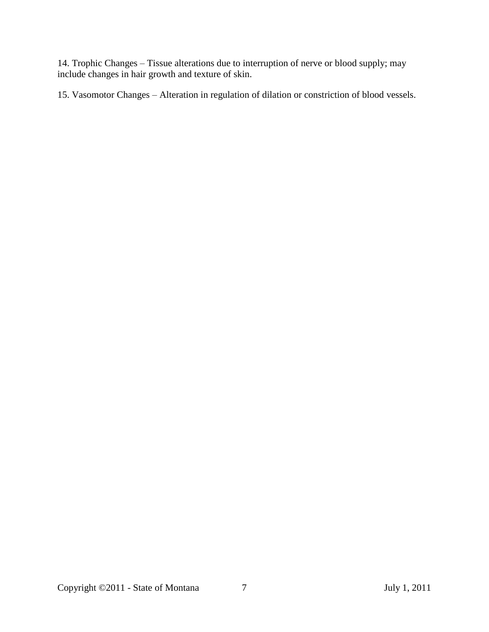14. Trophic Changes – Tissue alterations due to interruption of nerve or blood supply; may include changes in hair growth and texture of skin.

15. Vasomotor Changes – Alteration in regulation of dilation or constriction of blood vessels.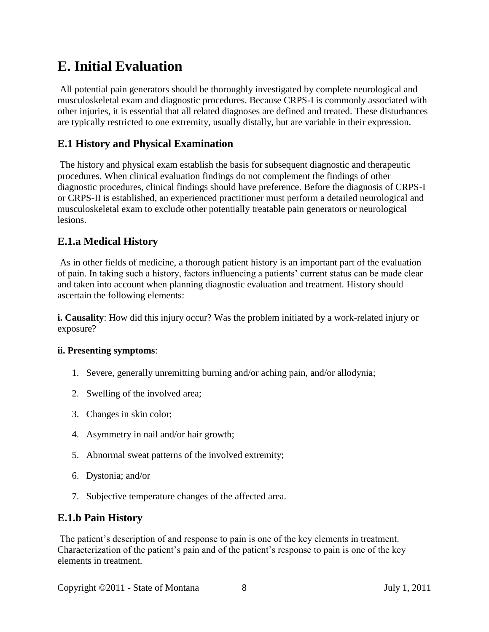# <span id="page-8-0"></span>**E. Initial Evaluation**

All potential pain generators should be thoroughly investigated by complete neurological and musculoskeletal exam and diagnostic procedures. Because CRPS-I is commonly associated with other injuries, it is essential that all related diagnoses are defined and treated. These disturbances are typically restricted to one extremity, usually distally, but are variable in their expression.

## **E.1 History and Physical Examination**

The history and physical exam establish the basis for subsequent diagnostic and therapeutic procedures. When clinical evaluation findings do not complement the findings of other diagnostic procedures, clinical findings should have preference. Before the diagnosis of CRPS-I or CRPS-II is established, an experienced practitioner must perform a detailed neurological and musculoskeletal exam to exclude other potentially treatable pain generators or neurological lesions.

## **E.1.a Medical History**

As in other fields of medicine, a thorough patient history is an important part of the evaluation of pain. In taking such a history, factors influencing a patients' current status can be made clear and taken into account when planning diagnostic evaluation and treatment. History should ascertain the following elements:

**i. Causality**: How did this injury occur? Was the problem initiated by a work-related injury or exposure?

#### **ii. Presenting symptoms**:

- 1. Severe, generally unremitting burning and/or aching pain, and/or allodynia;
- 2. Swelling of the involved area;
- 3. Changes in skin color;
- 4. Asymmetry in nail and/or hair growth;
- 5. Abnormal sweat patterns of the involved extremity;
- 6. Dystonia; and/or
- 7. Subjective temperature changes of the affected area.

## **E.1.b Pain History**

The patient's description of and response to pain is one of the key elements in treatment. Characterization of the patient's pain and of the patient's response to pain is one of the key elements in treatment.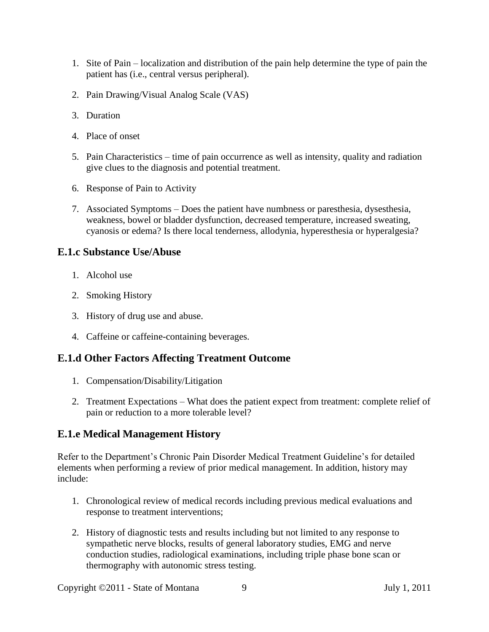- 1. Site of Pain localization and distribution of the pain help determine the type of pain the patient has (i.e., central versus peripheral).
- 2. Pain Drawing/Visual Analog Scale (VAS)
- 3. Duration
- 4. Place of onset
- 5. Pain Characteristics time of pain occurrence as well as intensity, quality and radiation give clues to the diagnosis and potential treatment.
- 6. Response of Pain to Activity
- 7. Associated Symptoms Does the patient have numbness or paresthesia, dysesthesia, weakness, bowel or bladder dysfunction, decreased temperature, increased sweating, cyanosis or edema? Is there local tenderness, allodynia, hyperesthesia or hyperalgesia?

#### **E.1.c Substance Use/Abuse**

- 1. Alcohol use
- 2. Smoking History
- 3. History of drug use and abuse.
- 4. Caffeine or caffeine-containing beverages.

#### **E.1.d Other Factors Affecting Treatment Outcome**

- 1. Compensation/Disability/Litigation
- 2. Treatment Expectations What does the patient expect from treatment: complete relief of pain or reduction to a more tolerable level?

#### **E.1.e Medical Management History**

Refer to the Department's Chronic Pain Disorder Medical Treatment Guideline's for detailed elements when performing a review of prior medical management. In addition, history may include:

- 1. Chronological review of medical records including previous medical evaluations and response to treatment interventions;
- 2. History of diagnostic tests and results including but not limited to any response to sympathetic nerve blocks, results of general laboratory studies, EMG and nerve conduction studies, radiological examinations, including triple phase bone scan or thermography with autonomic stress testing.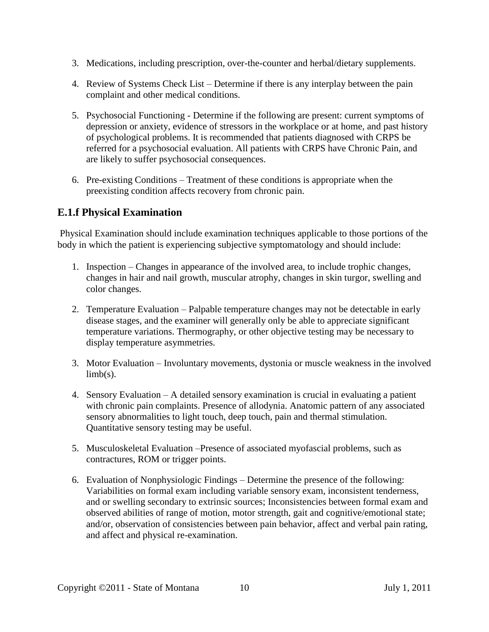- 3. Medications, including prescription, over-the-counter and herbal/dietary supplements.
- 4. Review of Systems Check List Determine if there is any interplay between the pain complaint and other medical conditions.
- 5. Psychosocial Functioning Determine if the following are present: current symptoms of depression or anxiety, evidence of stressors in the workplace or at home, and past history of psychological problems. It is recommended that patients diagnosed with CRPS be referred for a psychosocial evaluation. All patients with CRPS have Chronic Pain, and are likely to suffer psychosocial consequences.
- 6. Pre-existing Conditions Treatment of these conditions is appropriate when the preexisting condition affects recovery from chronic pain.

#### **E.1.f Physical Examination**

Physical Examination should include examination techniques applicable to those portions of the body in which the patient is experiencing subjective symptomatology and should include:

- 1. Inspection Changes in appearance of the involved area, to include trophic changes, changes in hair and nail growth, muscular atrophy, changes in skin turgor, swelling and color changes.
- 2. Temperature Evaluation Palpable temperature changes may not be detectable in early disease stages, and the examiner will generally only be able to appreciate significant temperature variations. Thermography, or other objective testing may be necessary to display temperature asymmetries.
- 3. Motor Evaluation Involuntary movements, dystonia or muscle weakness in the involved  $limb(s)$ .
- 4. Sensory Evaluation A detailed sensory examination is crucial in evaluating a patient with chronic pain complaints. Presence of allodynia. Anatomic pattern of any associated sensory abnormalities to light touch, deep touch, pain and thermal stimulation. Quantitative sensory testing may be useful.
- 5. Musculoskeletal Evaluation –Presence of associated myofascial problems, such as contractures, ROM or trigger points.
- 6. Evaluation of Nonphysiologic Findings Determine the presence of the following: Variabilities on formal exam including variable sensory exam, inconsistent tenderness, and or swelling secondary to extrinsic sources; Inconsistencies between formal exam and observed abilities of range of motion, motor strength, gait and cognitive/emotional state; and/or, observation of consistencies between pain behavior, affect and verbal pain rating, and affect and physical re-examination.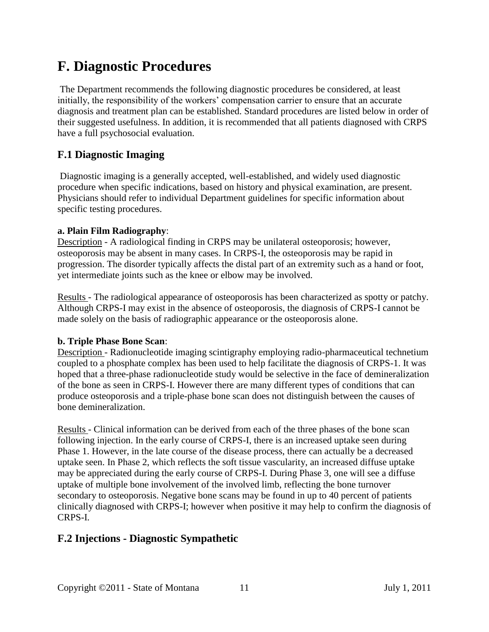## <span id="page-11-0"></span>**F. Diagnostic Procedures**

The Department recommends the following diagnostic procedures be considered, at least initially, the responsibility of the workers' compensation carrier to ensure that an accurate diagnosis and treatment plan can be established. Standard procedures are listed below in order of their suggested usefulness. In addition, it is recommended that all patients diagnosed with CRPS have a full psychosocial evaluation.

#### **F.1 Diagnostic Imaging**

Diagnostic imaging is a generally accepted, well-established, and widely used diagnostic procedure when specific indications, based on history and physical examination, are present. Physicians should refer to individual Department guidelines for specific information about specific testing procedures.

#### **a. Plain Film Radiography**:

Description - A radiological finding in CRPS may be unilateral osteoporosis; however, osteoporosis may be absent in many cases. In CRPS-I, the osteoporosis may be rapid in progression. The disorder typically affects the distal part of an extremity such as a hand or foot, yet intermediate joints such as the knee or elbow may be involved.

Results - The radiological appearance of osteoporosis has been characterized as spotty or patchy. Although CRPS-I may exist in the absence of osteoporosis, the diagnosis of CRPS-I cannot be made solely on the basis of radiographic appearance or the osteoporosis alone.

#### **b. Triple Phase Bone Scan**:

Description - Radionucleotide imaging scintigraphy employing radio-pharmaceutical technetium coupled to a phosphate complex has been used to help facilitate the diagnosis of CRPS-1. It was hoped that a three-phase radionucleotide study would be selective in the face of demineralization of the bone as seen in CRPS-I. However there are many different types of conditions that can produce osteoporosis and a triple-phase bone scan does not distinguish between the causes of bone demineralization.

Results - Clinical information can be derived from each of the three phases of the bone scan following injection. In the early course of CRPS-I, there is an increased uptake seen during Phase 1. However, in the late course of the disease process, there can actually be a decreased uptake seen. In Phase 2, which reflects the soft tissue vascularity, an increased diffuse uptake may be appreciated during the early course of CRPS-I. During Phase 3, one will see a diffuse uptake of multiple bone involvement of the involved limb, reflecting the bone turnover secondary to osteoporosis. Negative bone scans may be found in up to 40 percent of patients clinically diagnosed with CRPS-I; however when positive it may help to confirm the diagnosis of CRPS-I.

#### **F.2 Injections - Diagnostic Sympathetic**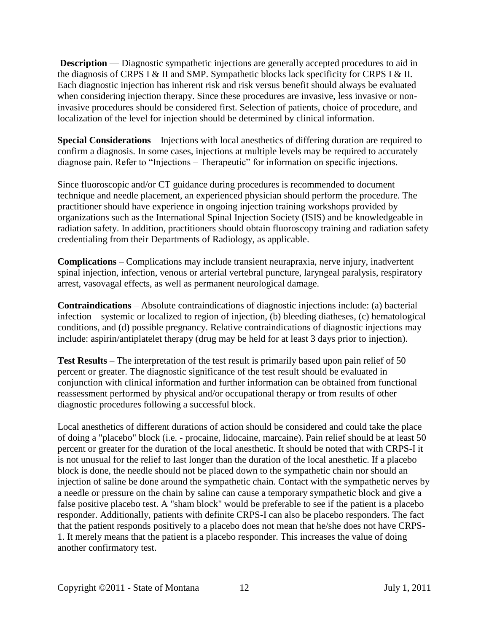**Description** — Diagnostic sympathetic injections are generally accepted procedures to aid in the diagnosis of CRPS I & II and SMP. Sympathetic blocks lack specificity for CRPS I & II. Each diagnostic injection has inherent risk and risk versus benefit should always be evaluated when considering injection therapy. Since these procedures are invasive, less invasive or noninvasive procedures should be considered first. Selection of patients, choice of procedure, and localization of the level for injection should be determined by clinical information.

**Special Considerations** – Injections with local anesthetics of differing duration are required to confirm a diagnosis. In some cases, injections at multiple levels may be required to accurately diagnose pain. Refer to "Injections – Therapeutic" for information on specific injections.

Since fluoroscopic and/or CT guidance during procedures is recommended to document technique and needle placement, an experienced physician should perform the procedure. The practitioner should have experience in ongoing injection training workshops provided by organizations such as the International Spinal Injection Society (ISIS) and be knowledgeable in radiation safety. In addition, practitioners should obtain fluoroscopy training and radiation safety credentialing from their Departments of Radiology, as applicable.

**Complications** – Complications may include transient neurapraxia, nerve injury, inadvertent spinal injection, infection, venous or arterial vertebral puncture, laryngeal paralysis, respiratory arrest, vasovagal effects, as well as permanent neurological damage.

**Contraindications** – Absolute contraindications of diagnostic injections include: (a) bacterial infection – systemic or localized to region of injection, (b) bleeding diatheses, (c) hematological conditions, and (d) possible pregnancy. Relative contraindications of diagnostic injections may include: aspirin/antiplatelet therapy (drug may be held for at least 3 days prior to injection).

**Test Results** – The interpretation of the test result is primarily based upon pain relief of 50 percent or greater. The diagnostic significance of the test result should be evaluated in conjunction with clinical information and further information can be obtained from functional reassessment performed by physical and/or occupational therapy or from results of other diagnostic procedures following a successful block.

Local anesthetics of different durations of action should be considered and could take the place of doing a "placebo" block (i.e. - procaine, lidocaine, marcaine). Pain relief should be at least 50 percent or greater for the duration of the local anesthetic. It should be noted that with CRPS-I it is not unusual for the relief to last longer than the duration of the local anesthetic. If a placebo block is done, the needle should not be placed down to the sympathetic chain nor should an injection of saline be done around the sympathetic chain. Contact with the sympathetic nerves by a needle or pressure on the chain by saline can cause a temporary sympathetic block and give a false positive placebo test. A "sham block" would be preferable to see if the patient is a placebo responder. Additionally, patients with definite CRPS-I can also be placebo responders. The fact that the patient responds positively to a placebo does not mean that he/she does not have CRPS-1. It merely means that the patient is a placebo responder. This increases the value of doing another confirmatory test.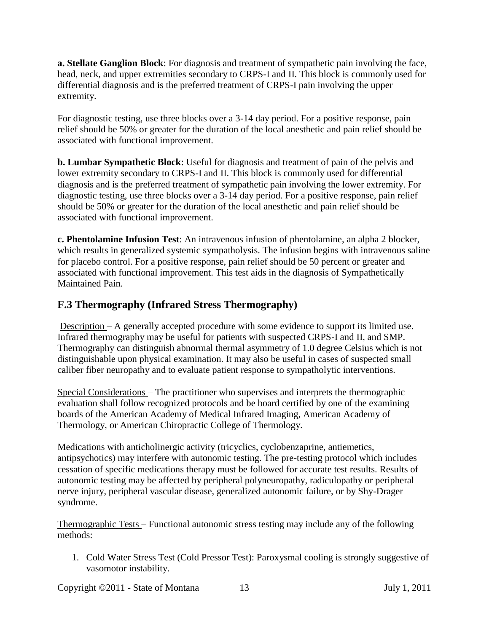**a. Stellate Ganglion Block**: For diagnosis and treatment of sympathetic pain involving the face, head, neck, and upper extremities secondary to CRPS-I and II. This block is commonly used for differential diagnosis and is the preferred treatment of CRPS-I pain involving the upper extremity.

For diagnostic testing, use three blocks over a 3-14 day period. For a positive response, pain relief should be 50% or greater for the duration of the local anesthetic and pain relief should be associated with functional improvement.

**b. Lumbar Sympathetic Block**: Useful for diagnosis and treatment of pain of the pelvis and lower extremity secondary to CRPS-I and II. This block is commonly used for differential diagnosis and is the preferred treatment of sympathetic pain involving the lower extremity. For diagnostic testing, use three blocks over a 3-14 day period. For a positive response, pain relief should be 50% or greater for the duration of the local anesthetic and pain relief should be associated with functional improvement.

**c. Phentolamine Infusion Test**: An intravenous infusion of phentolamine, an alpha 2 blocker, which results in generalized systemic sympatholysis. The infusion begins with intravenous saline for placebo control. For a positive response, pain relief should be 50 percent or greater and associated with functional improvement. This test aids in the diagnosis of Sympathetically Maintained Pain.

## **F.3 Thermography (Infrared Stress Thermography)**

Description – A generally accepted procedure with some evidence to support its limited use. Infrared thermography may be useful for patients with suspected CRPS-I and II, and SMP. Thermography can distinguish abnormal thermal asymmetry of 1.0 degree Celsius which is not distinguishable upon physical examination. It may also be useful in cases of suspected small caliber fiber neuropathy and to evaluate patient response to sympatholytic interventions.

Special Considerations – The practitioner who supervises and interprets the thermographic evaluation shall follow recognized protocols and be board certified by one of the examining boards of the American Academy of Medical Infrared Imaging, American Academy of Thermology, or American Chiropractic College of Thermology.

Medications with anticholinergic activity (tricyclics, cyclobenzaprine, antiemetics, antipsychotics) may interfere with autonomic testing. The pre-testing protocol which includes cessation of specific medications therapy must be followed for accurate test results. Results of autonomic testing may be affected by peripheral polyneuropathy, radiculopathy or peripheral nerve injury, peripheral vascular disease, generalized autonomic failure, or by Shy-Drager syndrome.

Thermographic Tests – Functional autonomic stress testing may include any of the following methods:

1. Cold Water Stress Test (Cold Pressor Test): Paroxysmal cooling is strongly suggestive of vasomotor instability.

Copyright ©2011 - State of Montana 13 July 1, 2011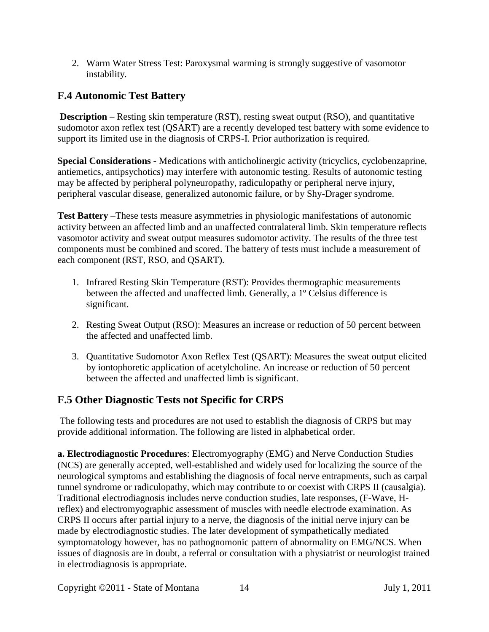2. Warm Water Stress Test: Paroxysmal warming is strongly suggestive of vasomotor instability.

#### **F.4 Autonomic Test Battery**

**Description** – Resting skin temperature (RST), resting sweat output (RSO), and quantitative sudomotor axon reflex test (QSART) are a recently developed test battery with some evidence to support its limited use in the diagnosis of CRPS-I. Prior authorization is required.

**Special Considerations** - Medications with anticholinergic activity (tricyclics, cyclobenzaprine, antiemetics, antipsychotics) may interfere with autonomic testing. Results of autonomic testing may be affected by peripheral polyneuropathy, radiculopathy or peripheral nerve injury, peripheral vascular disease, generalized autonomic failure, or by Shy-Drager syndrome.

**Test Battery** –These tests measure asymmetries in physiologic manifestations of autonomic activity between an affected limb and an unaffected contralateral limb. Skin temperature reflects vasomotor activity and sweat output measures sudomotor activity. The results of the three test components must be combined and scored. The battery of tests must include a measurement of each component (RST, RSO, and QSART).

- 1. Infrared Resting Skin Temperature (RST): Provides thermographic measurements between the affected and unaffected limb. Generally, a 1º Celsius difference is significant.
- 2. Resting Sweat Output (RSO): Measures an increase or reduction of 50 percent between the affected and unaffected limb.
- 3. Quantitative Sudomotor Axon Reflex Test (QSART): Measures the sweat output elicited by iontophoretic application of acetylcholine. An increase or reduction of 50 percent between the affected and unaffected limb is significant.

#### **F.5 Other Diagnostic Tests not Specific for CRPS**

The following tests and procedures are not used to establish the diagnosis of CRPS but may provide additional information. The following are listed in alphabetical order.

**a. Electrodiagnostic Procedures**: Electromyography (EMG) and Nerve Conduction Studies (NCS) are generally accepted, well-established and widely used for localizing the source of the neurological symptoms and establishing the diagnosis of focal nerve entrapments, such as carpal tunnel syndrome or radiculopathy, which may contribute to or coexist with CRPS II (causalgia). Traditional electrodiagnosis includes nerve conduction studies, late responses, (F-Wave, Hreflex) and electromyographic assessment of muscles with needle electrode examination. As CRPS II occurs after partial injury to a nerve, the diagnosis of the initial nerve injury can be made by electrodiagnostic studies. The later development of sympathetically mediated symptomatology however, has no pathognomonic pattern of abnormality on EMG/NCS. When issues of diagnosis are in doubt, a referral or consultation with a physiatrist or neurologist trained in electrodiagnosis is appropriate.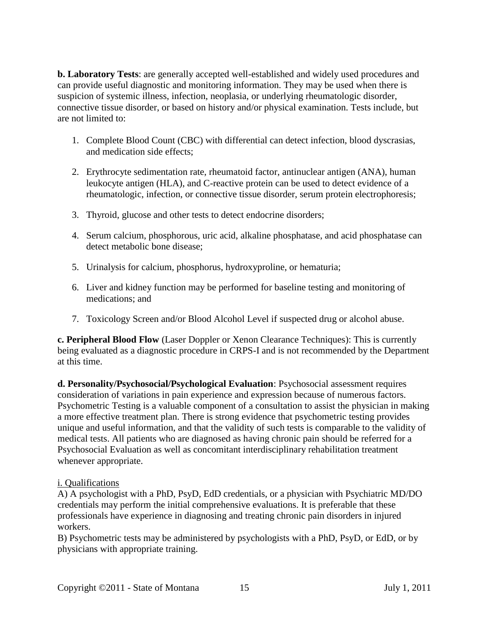**b. Laboratory Tests**: are generally accepted well-established and widely used procedures and can provide useful diagnostic and monitoring information. They may be used when there is suspicion of systemic illness, infection, neoplasia, or underlying rheumatologic disorder, connective tissue disorder, or based on history and/or physical examination. Tests include, but are not limited to:

- 1. Complete Blood Count (CBC) with differential can detect infection, blood dyscrasias, and medication side effects;
- 2. Erythrocyte sedimentation rate, rheumatoid factor, antinuclear antigen (ANA), human leukocyte antigen (HLA), and C-reactive protein can be used to detect evidence of a rheumatologic, infection, or connective tissue disorder, serum protein electrophoresis;
- 3. Thyroid, glucose and other tests to detect endocrine disorders;
- 4. Serum calcium, phosphorous, uric acid, alkaline phosphatase, and acid phosphatase can detect metabolic bone disease;
- 5. Urinalysis for calcium, phosphorus, hydroxyproline, or hematuria;
- 6. Liver and kidney function may be performed for baseline testing and monitoring of medications; and
- 7. Toxicology Screen and/or Blood Alcohol Level if suspected drug or alcohol abuse.

**c. Peripheral Blood Flow** (Laser Doppler or Xenon Clearance Techniques): This is currently being evaluated as a diagnostic procedure in CRPS-I and is not recommended by the Department at this time.

**d. Personality/Psychosocial/Psychological Evaluation**: Psychosocial assessment requires consideration of variations in pain experience and expression because of numerous factors. Psychometric Testing is a valuable component of a consultation to assist the physician in making a more effective treatment plan. There is strong evidence that psychometric testing provides unique and useful information, and that the validity of such tests is comparable to the validity of medical tests. All patients who are diagnosed as having chronic pain should be referred for a Psychosocial Evaluation as well as concomitant interdisciplinary rehabilitation treatment whenever appropriate.

#### i. Qualifications

A) A psychologist with a PhD, PsyD, EdD credentials, or a physician with Psychiatric MD/DO credentials may perform the initial comprehensive evaluations. It is preferable that these professionals have experience in diagnosing and treating chronic pain disorders in injured workers.

B) Psychometric tests may be administered by psychologists with a PhD, PsyD, or EdD, or by physicians with appropriate training.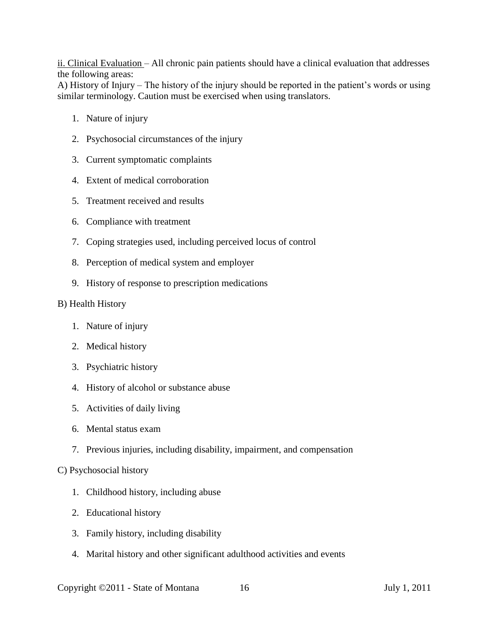ii. Clinical Evaluation – All chronic pain patients should have a clinical evaluation that addresses the following areas:

A) History of Injury – The history of the injury should be reported in the patient's words or using similar terminology. Caution must be exercised when using translators.

- 1. Nature of injury
- 2. Psychosocial circumstances of the injury
- 3. Current symptomatic complaints
- 4. Extent of medical corroboration
- 5. Treatment received and results
- 6. Compliance with treatment
- 7. Coping strategies used, including perceived locus of control
- 8. Perception of medical system and employer
- 9. History of response to prescription medications

#### B) Health History

- 1. Nature of injury
- 2. Medical history
- 3. Psychiatric history
- 4. History of alcohol or substance abuse
- 5. Activities of daily living
- 6. Mental status exam
- 7. Previous injuries, including disability, impairment, and compensation

#### C) Psychosocial history

- 1. Childhood history, including abuse
- 2. Educational history
- 3. Family history, including disability
- 4. Marital history and other significant adulthood activities and events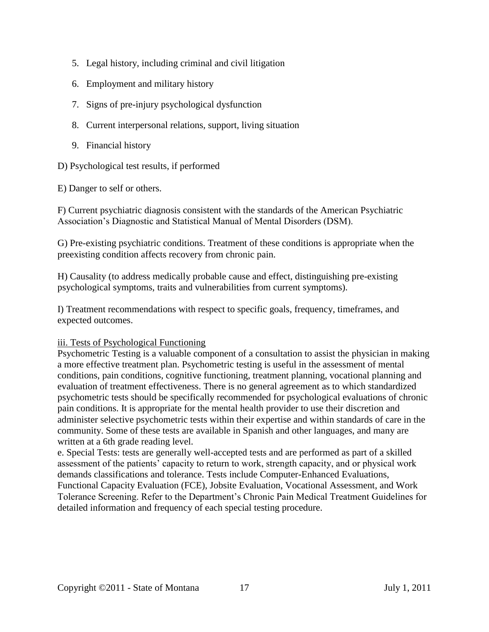- 5. Legal history, including criminal and civil litigation
- 6. Employment and military history
- 7. Signs of pre-injury psychological dysfunction
- 8. Current interpersonal relations, support, living situation
- 9. Financial history

D) Psychological test results, if performed

E) Danger to self or others.

F) Current psychiatric diagnosis consistent with the standards of the American Psychiatric Association's Diagnostic and Statistical Manual of Mental Disorders (DSM).

G) Pre-existing psychiatric conditions. Treatment of these conditions is appropriate when the preexisting condition affects recovery from chronic pain.

H) Causality (to address medically probable cause and effect, distinguishing pre-existing psychological symptoms, traits and vulnerabilities from current symptoms).

I) Treatment recommendations with respect to specific goals, frequency, timeframes, and expected outcomes.

#### iii. Tests of Psychological Functioning

Psychometric Testing is a valuable component of a consultation to assist the physician in making a more effective treatment plan. Psychometric testing is useful in the assessment of mental conditions, pain conditions, cognitive functioning, treatment planning, vocational planning and evaluation of treatment effectiveness. There is no general agreement as to which standardized psychometric tests should be specifically recommended for psychological evaluations of chronic pain conditions. It is appropriate for the mental health provider to use their discretion and administer selective psychometric tests within their expertise and within standards of care in the community. Some of these tests are available in Spanish and other languages, and many are written at a 6th grade reading level.

e. Special Tests: tests are generally well-accepted tests and are performed as part of a skilled assessment of the patients' capacity to return to work, strength capacity, and or physical work demands classifications and tolerance. Tests include Computer-Enhanced Evaluations, Functional Capacity Evaluation (FCE), Jobsite Evaluation, Vocational Assessment, and Work Tolerance Screening. Refer to the Department's Chronic Pain Medical Treatment Guidelines for detailed information and frequency of each special testing procedure.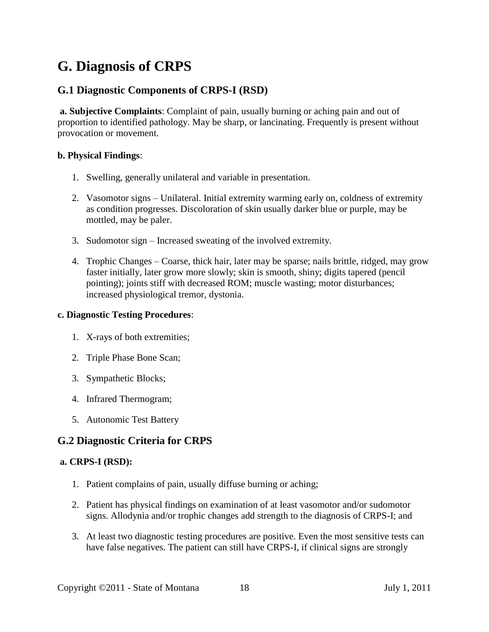# <span id="page-18-0"></span>**G. Diagnosis of CRPS**

#### **G.1 Diagnostic Components of CRPS-I (RSD)**

**a. Subjective Complaints**: Complaint of pain, usually burning or aching pain and out of proportion to identified pathology. May be sharp, or lancinating. Frequently is present without provocation or movement.

#### **b. Physical Findings**:

- 1. Swelling, generally unilateral and variable in presentation.
- 2. Vasomotor signs Unilateral. Initial extremity warming early on, coldness of extremity as condition progresses. Discoloration of skin usually darker blue or purple, may be mottled, may be paler.
- 3. Sudomotor sign Increased sweating of the involved extremity.
- 4. Trophic Changes Coarse, thick hair, later may be sparse; nails brittle, ridged, may grow faster initially, later grow more slowly; skin is smooth, shiny; digits tapered (pencil pointing); joints stiff with decreased ROM; muscle wasting; motor disturbances; increased physiological tremor, dystonia.

#### **c. Diagnostic Testing Procedures**:

- 1. X-rays of both extremities;
- 2. Triple Phase Bone Scan;
- 3. Sympathetic Blocks;
- 4. Infrared Thermogram;
- 5. Autonomic Test Battery

#### **G.2 Diagnostic Criteria for CRPS**

#### **a. CRPS-I (RSD):**

- 1. Patient complains of pain, usually diffuse burning or aching;
- 2. Patient has physical findings on examination of at least vasomotor and/or sudomotor signs. Allodynia and/or trophic changes add strength to the diagnosis of CRPS-I; and
- 3. At least two diagnostic testing procedures are positive. Even the most sensitive tests can have false negatives. The patient can still have CRPS-I, if clinical signs are strongly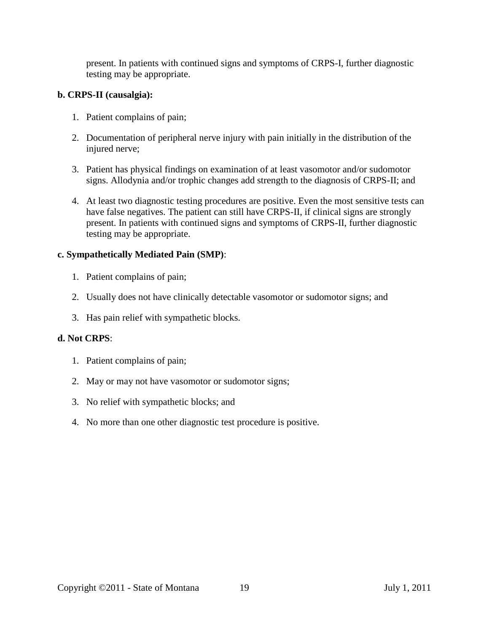present. In patients with continued signs and symptoms of CRPS-I, further diagnostic testing may be appropriate.

#### **b. CRPS-II (causalgia):**

- 1. Patient complains of pain;
- 2. Documentation of peripheral nerve injury with pain initially in the distribution of the injured nerve;
- 3. Patient has physical findings on examination of at least vasomotor and/or sudomotor signs. Allodynia and/or trophic changes add strength to the diagnosis of CRPS-II; and
- 4. At least two diagnostic testing procedures are positive. Even the most sensitive tests can have false negatives. The patient can still have CRPS-II, if clinical signs are strongly present. In patients with continued signs and symptoms of CRPS-II, further diagnostic testing may be appropriate.

#### **c. Sympathetically Mediated Pain (SMP)**:

- 1. Patient complains of pain;
- 2. Usually does not have clinically detectable vasomotor or sudomotor signs; and
- 3. Has pain relief with sympathetic blocks.

#### **d. Not CRPS**:

- 1. Patient complains of pain;
- 2. May or may not have vasomotor or sudomotor signs;
- 3. No relief with sympathetic blocks; and
- 4. No more than one other diagnostic test procedure is positive.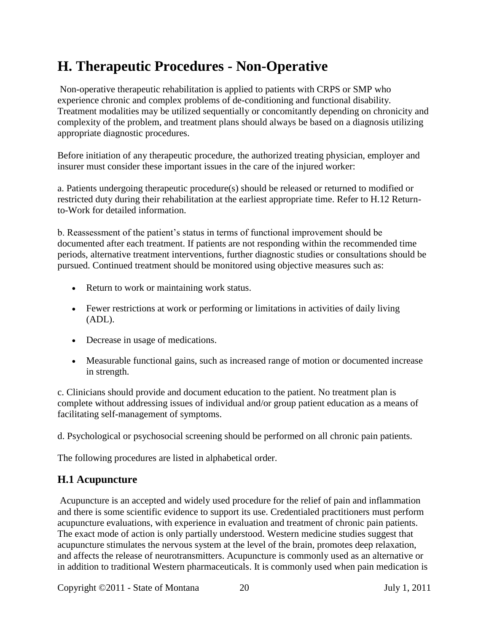# <span id="page-20-0"></span>**H. Therapeutic Procedures - Non-Operative**

Non-operative therapeutic rehabilitation is applied to patients with CRPS or SMP who experience chronic and complex problems of de-conditioning and functional disability. Treatment modalities may be utilized sequentially or concomitantly depending on chronicity and complexity of the problem, and treatment plans should always be based on a diagnosis utilizing appropriate diagnostic procedures.

Before initiation of any therapeutic procedure, the authorized treating physician, employer and insurer must consider these important issues in the care of the injured worker:

a. Patients undergoing therapeutic procedure(s) should be released or returned to modified or restricted duty during their rehabilitation at the earliest appropriate time. Refer to H.12 Returnto-Work for detailed information.

b. Reassessment of the patient's status in terms of functional improvement should be documented after each treatment. If patients are not responding within the recommended time periods, alternative treatment interventions, further diagnostic studies or consultations should be pursued. Continued treatment should be monitored using objective measures such as:

- Return to work or maintaining work status.
- Fewer restrictions at work or performing or limitations in activities of daily living (ADL).
- Decrease in usage of medications.
- Measurable functional gains, such as increased range of motion or documented increase in strength.

c. Clinicians should provide and document education to the patient. No treatment plan is complete without addressing issues of individual and/or group patient education as a means of facilitating self-management of symptoms.

d. Psychological or psychosocial screening should be performed on all chronic pain patients.

The following procedures are listed in alphabetical order.

## <span id="page-20-1"></span>**H.1 Acupuncture**

Acupuncture is an accepted and widely used procedure for the relief of pain and inflammation and there is some scientific evidence to support its use. Credentialed practitioners must perform acupuncture evaluations, with experience in evaluation and treatment of chronic pain patients. The exact mode of action is only partially understood. Western medicine studies suggest that acupuncture stimulates the nervous system at the level of the brain, promotes deep relaxation, and affects the release of neurotransmitters. Acupuncture is commonly used as an alternative or in addition to traditional Western pharmaceuticals. It is commonly used when pain medication is

Copyright ©2011 - State of Montana 20 July 1, 2011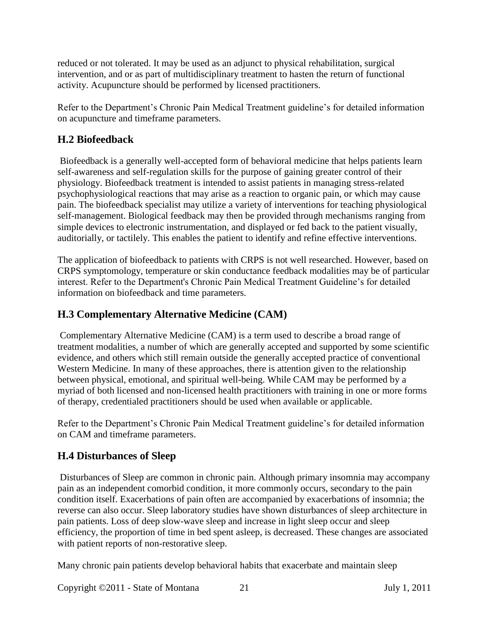reduced or not tolerated. It may be used as an adjunct to physical rehabilitation, surgical intervention, and or as part of multidisciplinary treatment to hasten the return of functional activity. Acupuncture should be performed by licensed practitioners.

Refer to the Department's Chronic Pain Medical Treatment guideline's for detailed information on acupuncture and timeframe parameters.

## <span id="page-21-0"></span>**H.2 Biofeedback**

Biofeedback is a generally well-accepted form of behavioral medicine that helps patients learn self-awareness and self-regulation skills for the purpose of gaining greater control of their physiology. Biofeedback treatment is intended to assist patients in managing stress-related psychophysiological reactions that may arise as a reaction to organic pain, or which may cause pain. The biofeedback specialist may utilize a variety of interventions for teaching physiological self-management. Biological feedback may then be provided through mechanisms ranging from simple devices to electronic instrumentation, and displayed or fed back to the patient visually, auditorially, or tactilely. This enables the patient to identify and refine effective interventions.

The application of biofeedback to patients with CRPS is not well researched. However, based on CRPS symptomology, temperature or skin conductance feedback modalities may be of particular interest. Refer to the Department's Chronic Pain Medical Treatment Guideline's for detailed information on biofeedback and time parameters.

## <span id="page-21-1"></span>**H.3 Complementary Alternative Medicine (CAM)**

Complementary Alternative Medicine (CAM) is a term used to describe a broad range of treatment modalities, a number of which are generally accepted and supported by some scientific evidence, and others which still remain outside the generally accepted practice of conventional Western Medicine. In many of these approaches, there is attention given to the relationship between physical, emotional, and spiritual well-being. While CAM may be performed by a myriad of both licensed and non-licensed health practitioners with training in one or more forms of therapy, credentialed practitioners should be used when available or applicable.

Refer to the Department's Chronic Pain Medical Treatment guideline's for detailed information on CAM and timeframe parameters.

## <span id="page-21-2"></span>**H.4 Disturbances of Sleep**

Disturbances of Sleep are common in chronic pain. Although primary insomnia may accompany pain as an independent comorbid condition, it more commonly occurs, secondary to the pain condition itself. Exacerbations of pain often are accompanied by exacerbations of insomnia; the reverse can also occur. Sleep laboratory studies have shown disturbances of sleep architecture in pain patients. Loss of deep slow-wave sleep and increase in light sleep occur and sleep efficiency, the proportion of time in bed spent asleep, is decreased. These changes are associated with patient reports of non-restorative sleep.

Many chronic pain patients develop behavioral habits that exacerbate and maintain sleep

Copyright ©2011 - State of Montana 21 July 1, 2011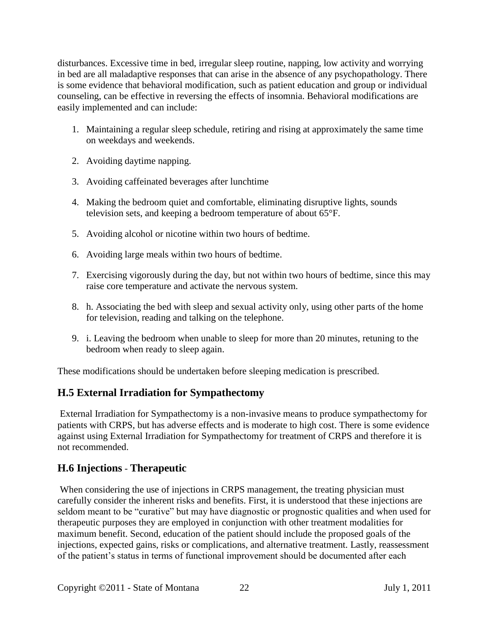disturbances. Excessive time in bed, irregular sleep routine, napping, low activity and worrying in bed are all maladaptive responses that can arise in the absence of any psychopathology. There is some evidence that behavioral modification, such as patient education and group or individual counseling, can be effective in reversing the effects of insomnia. Behavioral modifications are easily implemented and can include:

- 1. Maintaining a regular sleep schedule, retiring and rising at approximately the same time on weekdays and weekends.
- 2. Avoiding daytime napping.
- 3. Avoiding caffeinated beverages after lunchtime
- 4. Making the bedroom quiet and comfortable, eliminating disruptive lights, sounds television sets, and keeping a bedroom temperature of about 65°F.
- 5. Avoiding alcohol or nicotine within two hours of bedtime.
- 6. Avoiding large meals within two hours of bedtime.
- 7. Exercising vigorously during the day, but not within two hours of bedtime, since this may raise core temperature and activate the nervous system.
- 8. h. Associating the bed with sleep and sexual activity only, using other parts of the home for television, reading and talking on the telephone.
- 9. i. Leaving the bedroom when unable to sleep for more than 20 minutes, retuning to the bedroom when ready to sleep again.

These modifications should be undertaken before sleeping medication is prescribed.

## <span id="page-22-0"></span>**H.5 External Irradiation for Sympathectomy**

External Irradiation for Sympathectomy is a non-invasive means to produce sympathectomy for patients with CRPS, but has adverse effects and is moderate to high cost. There is some evidence against using External Irradiation for Sympathectomy for treatment of CRPS and therefore it is not recommended.

## <span id="page-22-1"></span>**H.6 Injections** - **Therapeutic**

When considering the use of injections in CRPS management, the treating physician must carefully consider the inherent risks and benefits. First, it is understood that these injections are seldom meant to be "curative" but may have diagnostic or prognostic qualities and when used for therapeutic purposes they are employed in conjunction with other treatment modalities for maximum benefit. Second, education of the patient should include the proposed goals of the injections, expected gains, risks or complications, and alternative treatment. Lastly, reassessment of the patient's status in terms of functional improvement should be documented after each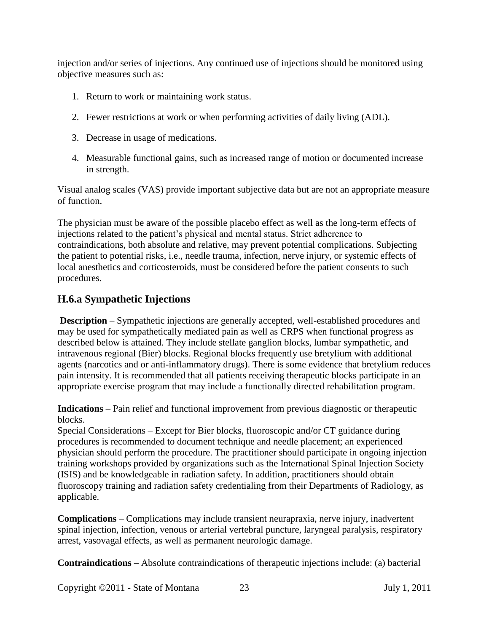injection and/or series of injections. Any continued use of injections should be monitored using objective measures such as:

- 1. Return to work or maintaining work status.
- 2. Fewer restrictions at work or when performing activities of daily living (ADL).
- 3. Decrease in usage of medications.
- 4. Measurable functional gains, such as increased range of motion or documented increase in strength.

Visual analog scales (VAS) provide important subjective data but are not an appropriate measure of function.

The physician must be aware of the possible placebo effect as well as the long-term effects of injections related to the patient's physical and mental status. Strict adherence to contraindications, both absolute and relative, may prevent potential complications. Subjecting the patient to potential risks, i.e., needle trauma, infection, nerve injury, or systemic effects of local anesthetics and corticosteroids, must be considered before the patient consents to such procedures.

## **H.6.a Sympathetic Injections**

**Description** – Sympathetic injections are generally accepted, well-established procedures and may be used for sympathetically mediated pain as well as CRPS when functional progress as described below is attained. They include stellate ganglion blocks, lumbar sympathetic, and intravenous regional (Bier) blocks. Regional blocks frequently use bretylium with additional agents (narcotics and or anti-inflammatory drugs). There is some evidence that bretylium reduces pain intensity. It is recommended that all patients receiving therapeutic blocks participate in an appropriate exercise program that may include a functionally directed rehabilitation program.

**Indications** – Pain relief and functional improvement from previous diagnostic or therapeutic blocks.

Special Considerations – Except for Bier blocks, fluoroscopic and/or CT guidance during procedures is recommended to document technique and needle placement; an experienced physician should perform the procedure. The practitioner should participate in ongoing injection training workshops provided by organizations such as the International Spinal Injection Society (ISIS) and be knowledgeable in radiation safety. In addition, practitioners should obtain fluoroscopy training and radiation safety credentialing from their Departments of Radiology, as applicable.

**Complications** – Complications may include transient neurapraxia, nerve injury, inadvertent spinal injection, infection, venous or arterial vertebral puncture, laryngeal paralysis, respiratory arrest, vasovagal effects, as well as permanent neurologic damage.

**Contraindications** – Absolute contraindications of therapeutic injections include: (a) bacterial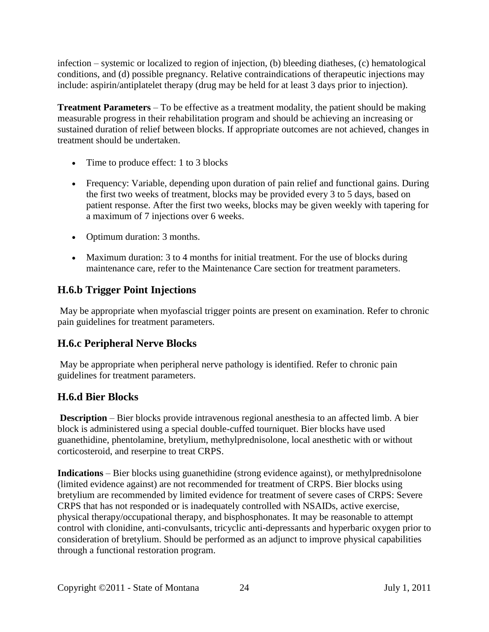infection – systemic or localized to region of injection, (b) bleeding diatheses, (c) hematological conditions, and (d) possible pregnancy. Relative contraindications of therapeutic injections may include: aspirin/antiplatelet therapy (drug may be held for at least 3 days prior to injection).

**Treatment Parameters** – To be effective as a treatment modality, the patient should be making measurable progress in their rehabilitation program and should be achieving an increasing or sustained duration of relief between blocks. If appropriate outcomes are not achieved, changes in treatment should be undertaken.

- Time to produce effect: 1 to 3 blocks
- Frequency: Variable, depending upon duration of pain relief and functional gains. During the first two weeks of treatment, blocks may be provided every 3 to 5 days, based on patient response. After the first two weeks, blocks may be given weekly with tapering for a maximum of 7 injections over 6 weeks.
- Optimum duration: 3 months.
- Maximum duration: 3 to 4 months for initial treatment. For the use of blocks during maintenance care, refer to the Maintenance Care section for treatment parameters.

## **H.6.b Trigger Point Injections**

May be appropriate when myofascial trigger points are present on examination. Refer to chronic pain guidelines for treatment parameters.

## **H.6.c Peripheral Nerve Blocks**

May be appropriate when peripheral nerve pathology is identified. Refer to chronic pain guidelines for treatment parameters.

## **H.6.d Bier Blocks**

**Description** – Bier blocks provide intravenous regional anesthesia to an affected limb. A bier block is administered using a special double-cuffed tourniquet. Bier blocks have used guanethidine, phentolamine, bretylium, methylprednisolone, local anesthetic with or without corticosteroid, and reserpine to treat CRPS.

**Indications** – Bier blocks using guanethidine (strong evidence against), or methylprednisolone (limited evidence against) are not recommended for treatment of CRPS. Bier blocks using bretylium are recommended by limited evidence for treatment of severe cases of CRPS: Severe CRPS that has not responded or is inadequately controlled with NSAIDs, active exercise, physical therapy/occupational therapy, and bisphosphonates. It may be reasonable to attempt control with clonidine, anti-convulsants, tricyclic anti-depressants and hyperbaric oxygen prior to consideration of bretylium. Should be performed as an adjunct to improve physical capabilities through a functional restoration program.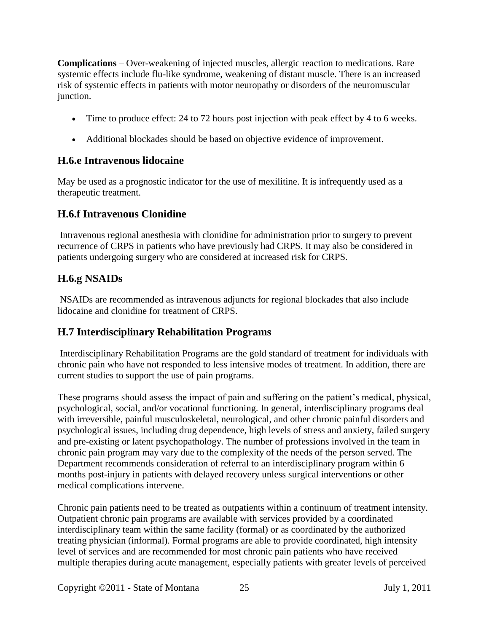**Complications** – Over-weakening of injected muscles, allergic reaction to medications. Rare systemic effects include flu-like syndrome, weakening of distant muscle. There is an increased risk of systemic effects in patients with motor neuropathy or disorders of the neuromuscular junction.

- Time to produce effect: 24 to 72 hours post injection with peak effect by 4 to 6 weeks.
- Additional blockades should be based on objective evidence of improvement.

#### **H.6.e Intravenous lidocaine**

May be used as a prognostic indicator for the use of mexilitine. It is infrequently used as a therapeutic treatment.

#### **H.6.f Intravenous Clonidine**

Intravenous regional anesthesia with clonidine for administration prior to surgery to prevent recurrence of CRPS in patients who have previously had CRPS. It may also be considered in patients undergoing surgery who are considered at increased risk for CRPS.

#### **H.6.g NSAIDs**

NSAIDs are recommended as intravenous adjuncts for regional blockades that also include lidocaine and clonidine for treatment of CRPS.

## <span id="page-25-0"></span>**H.7 Interdisciplinary Rehabilitation Programs**

Interdisciplinary Rehabilitation Programs are the gold standard of treatment for individuals with chronic pain who have not responded to less intensive modes of treatment. In addition, there are current studies to support the use of pain programs.

These programs should assess the impact of pain and suffering on the patient's medical, physical, psychological, social, and/or vocational functioning. In general, interdisciplinary programs deal with irreversible, painful musculoskeletal, neurological, and other chronic painful disorders and psychological issues, including drug dependence, high levels of stress and anxiety, failed surgery and pre-existing or latent psychopathology. The number of professions involved in the team in chronic pain program may vary due to the complexity of the needs of the person served. The Department recommends consideration of referral to an interdisciplinary program within 6 months post-injury in patients with delayed recovery unless surgical interventions or other medical complications intervene.

Chronic pain patients need to be treated as outpatients within a continuum of treatment intensity. Outpatient chronic pain programs are available with services provided by a coordinated interdisciplinary team within the same facility (formal) or as coordinated by the authorized treating physician (informal). Formal programs are able to provide coordinated, high intensity level of services and are recommended for most chronic pain patients who have received multiple therapies during acute management, especially patients with greater levels of perceived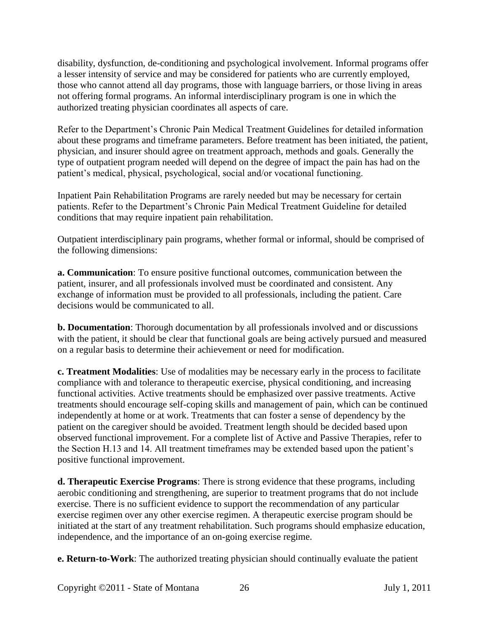disability, dysfunction, de-conditioning and psychological involvement. Informal programs offer a lesser intensity of service and may be considered for patients who are currently employed, those who cannot attend all day programs, those with language barriers, or those living in areas not offering formal programs. An informal interdisciplinary program is one in which the authorized treating physician coordinates all aspects of care.

Refer to the Department's Chronic Pain Medical Treatment Guidelines for detailed information about these programs and timeframe parameters. Before treatment has been initiated, the patient, physician, and insurer should agree on treatment approach, methods and goals. Generally the type of outpatient program needed will depend on the degree of impact the pain has had on the patient's medical, physical, psychological, social and/or vocational functioning.

Inpatient Pain Rehabilitation Programs are rarely needed but may be necessary for certain patients. Refer to the Department's Chronic Pain Medical Treatment Guideline for detailed conditions that may require inpatient pain rehabilitation.

Outpatient interdisciplinary pain programs, whether formal or informal, should be comprised of the following dimensions:

**a. Communication**: To ensure positive functional outcomes, communication between the patient, insurer, and all professionals involved must be coordinated and consistent. Any exchange of information must be provided to all professionals, including the patient. Care decisions would be communicated to all.

**b. Documentation**: Thorough documentation by all professionals involved and or discussions with the patient, it should be clear that functional goals are being actively pursued and measured on a regular basis to determine their achievement or need for modification.

**c. Treatment Modalities**: Use of modalities may be necessary early in the process to facilitate compliance with and tolerance to therapeutic exercise, physical conditioning, and increasing functional activities. Active treatments should be emphasized over passive treatments. Active treatments should encourage self-coping skills and management of pain, which can be continued independently at home or at work. Treatments that can foster a sense of dependency by the patient on the caregiver should be avoided. Treatment length should be decided based upon observed functional improvement. For a complete list of Active and Passive Therapies, refer to the Section H.13 and 14. All treatment timeframes may be extended based upon the patient's positive functional improvement.

**d. Therapeutic Exercise Programs**: There is strong evidence that these programs, including aerobic conditioning and strengthening, are superior to treatment programs that do not include exercise. There is no sufficient evidence to support the recommendation of any particular exercise regimen over any other exercise regimen. A therapeutic exercise program should be initiated at the start of any treatment rehabilitation. Such programs should emphasize education, independence, and the importance of an on-going exercise regime.

**e. Return-to-Work**: The authorized treating physician should continually evaluate the patient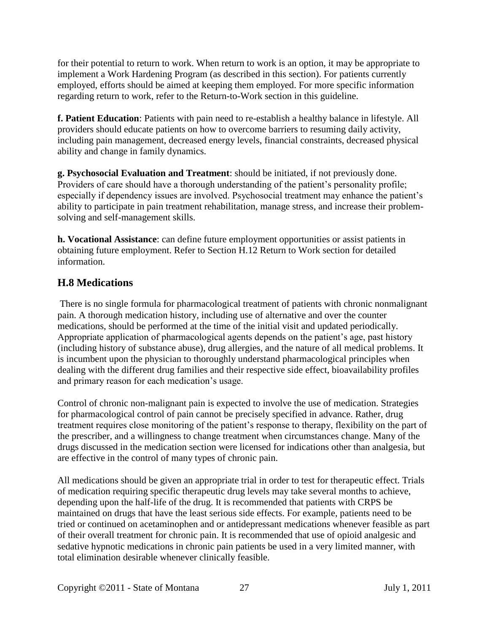for their potential to return to work. When return to work is an option, it may be appropriate to implement a Work Hardening Program (as described in this section). For patients currently employed, efforts should be aimed at keeping them employed. For more specific information regarding return to work, refer to the Return-to-Work section in this guideline.

**f. Patient Education**: Patients with pain need to re-establish a healthy balance in lifestyle. All providers should educate patients on how to overcome barriers to resuming daily activity, including pain management, decreased energy levels, financial constraints, decreased physical ability and change in family dynamics.

**g. Psychosocial Evaluation and Treatment**: should be initiated, if not previously done. Providers of care should have a thorough understanding of the patient's personality profile; especially if dependency issues are involved. Psychosocial treatment may enhance the patient's ability to participate in pain treatment rehabilitation, manage stress, and increase their problemsolving and self-management skills.

**h. Vocational Assistance**: can define future employment opportunities or assist patients in obtaining future employment. Refer to Section H.12 Return to Work section for detailed information.

## <span id="page-27-0"></span>**H.8 Medications**

There is no single formula for pharmacological treatment of patients with chronic nonmalignant pain. A thorough medication history, including use of alternative and over the counter medications, should be performed at the time of the initial visit and updated periodically. Appropriate application of pharmacological agents depends on the patient's age, past history (including history of substance abuse), drug allergies, and the nature of all medical problems. It is incumbent upon the physician to thoroughly understand pharmacological principles when dealing with the different drug families and their respective side effect, bioavailability profiles and primary reason for each medication's usage.

Control of chronic non-malignant pain is expected to involve the use of medication. Strategies for pharmacological control of pain cannot be precisely specified in advance. Rather, drug treatment requires close monitoring of the patient's response to therapy, flexibility on the part of the prescriber, and a willingness to change treatment when circumstances change. Many of the drugs discussed in the medication section were licensed for indications other than analgesia, but are effective in the control of many types of chronic pain.

All medications should be given an appropriate trial in order to test for therapeutic effect. Trials of medication requiring specific therapeutic drug levels may take several months to achieve, depending upon the half-life of the drug. It is recommended that patients with CRPS be maintained on drugs that have the least serious side effects. For example, patients need to be tried or continued on acetaminophen and or antidepressant medications whenever feasible as part of their overall treatment for chronic pain. It is recommended that use of opioid analgesic and sedative hypnotic medications in chronic pain patients be used in a very limited manner, with total elimination desirable whenever clinically feasible.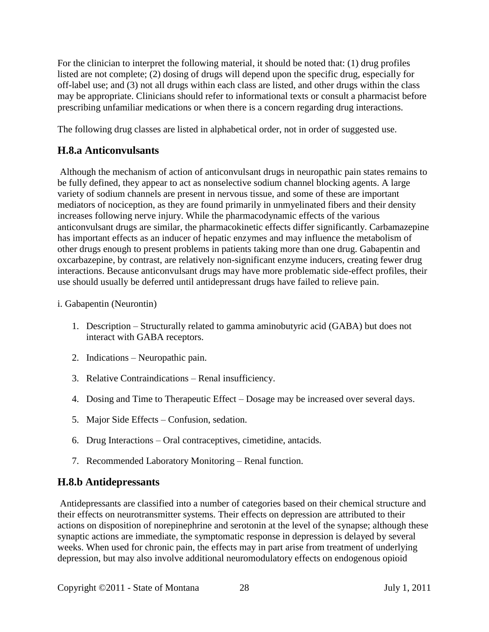For the clinician to interpret the following material, it should be noted that: (1) drug profiles listed are not complete; (2) dosing of drugs will depend upon the specific drug, especially for off-label use; and (3) not all drugs within each class are listed, and other drugs within the class may be appropriate. Clinicians should refer to informational texts or consult a pharmacist before prescribing unfamiliar medications or when there is a concern regarding drug interactions.

The following drug classes are listed in alphabetical order, not in order of suggested use.

## **H.8.a Anticonvulsants**

Although the mechanism of action of anticonvulsant drugs in neuropathic pain states remains to be fully defined, they appear to act as nonselective sodium channel blocking agents. A large variety of sodium channels are present in nervous tissue, and some of these are important mediators of nociception, as they are found primarily in unmyelinated fibers and their density increases following nerve injury. While the pharmacodynamic effects of the various anticonvulsant drugs are similar, the pharmacokinetic effects differ significantly. Carbamazepine has important effects as an inducer of hepatic enzymes and may influence the metabolism of other drugs enough to present problems in patients taking more than one drug. Gabapentin and oxcarbazepine, by contrast, are relatively non-significant enzyme inducers, creating fewer drug interactions. Because anticonvulsant drugs may have more problematic side-effect profiles, their use should usually be deferred until antidepressant drugs have failed to relieve pain.

#### i. Gabapentin (Neurontin)

- 1. Description Structurally related to gamma aminobutyric acid (GABA) but does not interact with GABA receptors.
- 2. Indications Neuropathic pain.
- 3. Relative Contraindications Renal insufficiency.
- 4. Dosing and Time to Therapeutic Effect Dosage may be increased over several days.
- 5. Major Side Effects Confusion, sedation.
- 6. Drug Interactions Oral contraceptives, cimetidine, antacids.
- 7. Recommended Laboratory Monitoring Renal function.

## **H.8.b Antidepressants**

Antidepressants are classified into a number of categories based on their chemical structure and their effects on neurotransmitter systems. Their effects on depression are attributed to their actions on disposition of norepinephrine and serotonin at the level of the synapse; although these synaptic actions are immediate, the symptomatic response in depression is delayed by several weeks. When used for chronic pain, the effects may in part arise from treatment of underlying depression, but may also involve additional neuromodulatory effects on endogenous opioid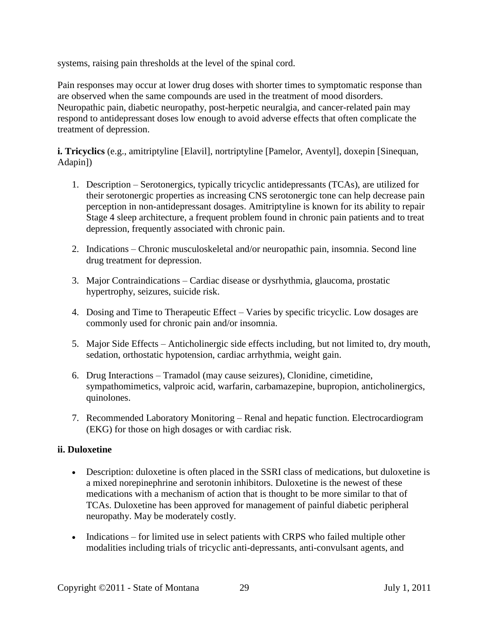systems, raising pain thresholds at the level of the spinal cord.

Pain responses may occur at lower drug doses with shorter times to symptomatic response than are observed when the same compounds are used in the treatment of mood disorders. Neuropathic pain, diabetic neuropathy, post-herpetic neuralgia, and cancer-related pain may respond to antidepressant doses low enough to avoid adverse effects that often complicate the treatment of depression.

**i. Tricyclics** (e.g., amitriptyline [Elavil], nortriptyline [Pamelor, Aventyl], doxepin [Sinequan, Adapin])

- 1. Description Serotonergics, typically tricyclic antidepressants (TCAs), are utilized for their serotonergic properties as increasing CNS serotonergic tone can help decrease pain perception in non-antidepressant dosages. Amitriptyline is known for its ability to repair Stage 4 sleep architecture, a frequent problem found in chronic pain patients and to treat depression, frequently associated with chronic pain.
- 2. Indications Chronic musculoskeletal and/or neuropathic pain, insomnia. Second line drug treatment for depression.
- 3. Major Contraindications Cardiac disease or dysrhythmia, glaucoma, prostatic hypertrophy, seizures, suicide risk.
- 4. Dosing and Time to Therapeutic Effect Varies by specific tricyclic. Low dosages are commonly used for chronic pain and/or insomnia.
- 5. Major Side Effects Anticholinergic side effects including, but not limited to, dry mouth, sedation, orthostatic hypotension, cardiac arrhythmia, weight gain.
- 6. Drug Interactions Tramadol (may cause seizures), Clonidine, cimetidine, sympathomimetics, valproic acid, warfarin, carbamazepine, bupropion, anticholinergics, quinolones.
- 7. Recommended Laboratory Monitoring Renal and hepatic function. Electrocardiogram (EKG) for those on high dosages or with cardiac risk.

#### **ii. Duloxetine**

- Description: duloxetine is often placed in the SSRI class of medications, but duloxetine is a mixed norepinephrine and serotonin inhibitors. Duloxetine is the newest of these medications with a mechanism of action that is thought to be more similar to that of TCAs. Duloxetine has been approved for management of painful diabetic peripheral neuropathy. May be moderately costly.
- Indications for limited use in select patients with CRPS who failed multiple other modalities including trials of tricyclic anti-depressants, anti-convulsant agents, and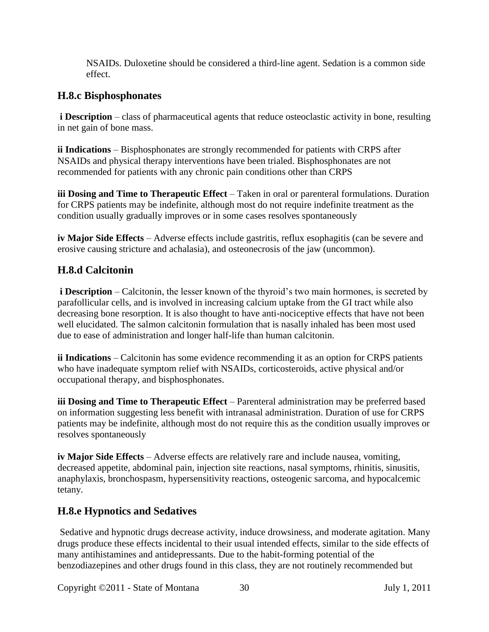NSAIDs. Duloxetine should be considered a third-line agent. Sedation is a common side effect.

#### **H.8.c Bisphosphonates**

**i Description** – class of pharmaceutical agents that reduce osteoclastic activity in bone, resulting in net gain of bone mass.

**ii Indications** – Bisphosphonates are strongly recommended for patients with CRPS after NSAIDs and physical therapy interventions have been trialed. Bisphosphonates are not recommended for patients with any chronic pain conditions other than CRPS

**iii Dosing and Time to Therapeutic Effect** – Taken in oral or parenteral formulations. Duration for CRPS patients may be indefinite, although most do not require indefinite treatment as the condition usually gradually improves or in some cases resolves spontaneously

**iv Major Side Effects** – Adverse effects include gastritis, reflux esophagitis (can be severe and erosive causing stricture and achalasia), and osteonecrosis of the jaw (uncommon).

#### **H.8.d Calcitonin**

**i Description** – Calcitonin, the lesser known of the thyroid's two main hormones, is secreted by parafollicular cells, and is involved in increasing calcium uptake from the GI tract while also decreasing bone resorption. It is also thought to have anti-nociceptive effects that have not been well elucidated. The salmon calcitonin formulation that is nasally inhaled has been most used due to ease of administration and longer half-life than human calcitonin.

**ii Indications** – Calcitonin has some evidence recommending it as an option for CRPS patients who have inadequate symptom relief with NSAIDs, corticosteroids, active physical and/or occupational therapy, and bisphosphonates.

**iii Dosing and Time to Therapeutic Effect** – Parenteral administration may be preferred based on information suggesting less benefit with intranasal administration. Duration of use for CRPS patients may be indefinite, although most do not require this as the condition usually improves or resolves spontaneously

**iv Major Side Effects** – Adverse effects are relatively rare and include nausea, vomiting, decreased appetite, abdominal pain, injection site reactions, nasal symptoms, rhinitis, sinusitis, anaphylaxis, bronchospasm, hypersensitivity reactions, osteogenic sarcoma, and hypocalcemic tetany.

## **H.8.e Hypnotics and Sedatives**

Sedative and hypnotic drugs decrease activity, induce drowsiness, and moderate agitation. Many drugs produce these effects incidental to their usual intended effects, similar to the side effects of many antihistamines and antidepressants. Due to the habit-forming potential of the benzodiazepines and other drugs found in this class, they are not routinely recommended but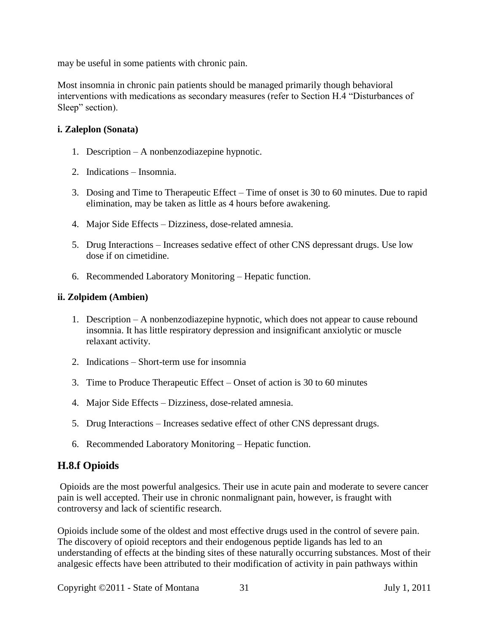may be useful in some patients with chronic pain.

Most insomnia in chronic pain patients should be managed primarily though behavioral interventions with medications as secondary measures (refer to Section H.4 "Disturbances of Sleep" section).

#### **i. Zaleplon (Sonata)**

- 1. Description A nonbenzodiazepine hypnotic.
- 2. Indications Insomnia.
- 3. Dosing and Time to Therapeutic Effect Time of onset is 30 to 60 minutes. Due to rapid elimination, may be taken as little as 4 hours before awakening.
- 4. Major Side Effects Dizziness, dose-related amnesia.
- 5. Drug Interactions Increases sedative effect of other CNS depressant drugs. Use low dose if on cimetidine.
- 6. Recommended Laboratory Monitoring Hepatic function.

#### **ii. Zolpidem (Ambien)**

- 1. Description A nonbenzodiazepine hypnotic, which does not appear to cause rebound insomnia. It has little respiratory depression and insignificant anxiolytic or muscle relaxant activity.
- 2. Indications Short-term use for insomnia
- 3. Time to Produce Therapeutic Effect Onset of action is 30 to 60 minutes
- 4. Major Side Effects Dizziness, dose-related amnesia.
- 5. Drug Interactions Increases sedative effect of other CNS depressant drugs.
- 6. Recommended Laboratory Monitoring Hepatic function.

#### **H.8.f Opioids**

Opioids are the most powerful analgesics. Their use in acute pain and moderate to severe cancer pain is well accepted. Their use in chronic nonmalignant pain, however, is fraught with controversy and lack of scientific research.

Opioids include some of the oldest and most effective drugs used in the control of severe pain. The discovery of opioid receptors and their endogenous peptide ligands has led to an understanding of effects at the binding sites of these naturally occurring substances. Most of their analgesic effects have been attributed to their modification of activity in pain pathways within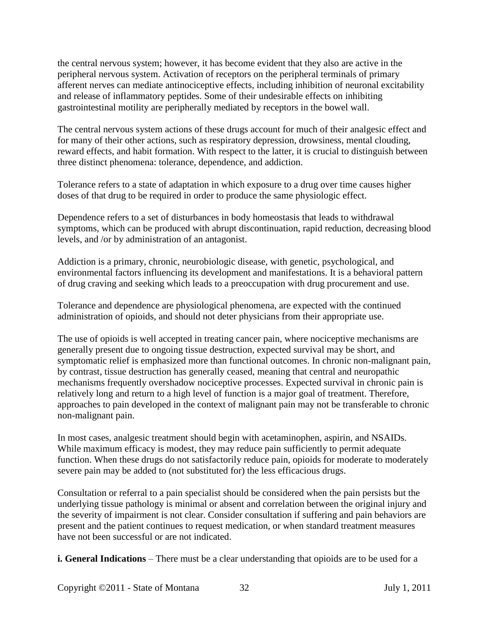the central nervous system; however, it has become evident that they also are active in the peripheral nervous system. Activation of receptors on the peripheral terminals of primary afferent nerves can mediate antinociceptive effects, including inhibition of neuronal excitability and release of inflammatory peptides. Some of their undesirable effects on inhibiting gastrointestinal motility are peripherally mediated by receptors in the bowel wall.

The central nervous system actions of these drugs account for much of their analgesic effect and for many of their other actions, such as respiratory depression, drowsiness, mental clouding, reward effects, and habit formation. With respect to the latter, it is crucial to distinguish between three distinct phenomena: tolerance, dependence, and addiction.

Tolerance refers to a state of adaptation in which exposure to a drug over time causes higher doses of that drug to be required in order to produce the same physiologic effect.

Dependence refers to a set of disturbances in body homeostasis that leads to withdrawal symptoms, which can be produced with abrupt discontinuation, rapid reduction, decreasing blood levels, and /or by administration of an antagonist.

Addiction is a primary, chronic, neurobiologic disease, with genetic, psychological, and environmental factors influencing its development and manifestations. It is a behavioral pattern of drug craving and seeking which leads to a preoccupation with drug procurement and use.

Tolerance and dependence are physiological phenomena, are expected with the continued administration of opioids, and should not deter physicians from their appropriate use.

The use of opioids is well accepted in treating cancer pain, where nociceptive mechanisms are generally present due to ongoing tissue destruction, expected survival may be short, and symptomatic relief is emphasized more than functional outcomes. In chronic non-malignant pain, by contrast, tissue destruction has generally ceased, meaning that central and neuropathic mechanisms frequently overshadow nociceptive processes. Expected survival in chronic pain is relatively long and return to a high level of function is a major goal of treatment. Therefore, approaches to pain developed in the context of malignant pain may not be transferable to chronic non-malignant pain.

In most cases, analgesic treatment should begin with acetaminophen, aspirin, and NSAIDs. While maximum efficacy is modest, they may reduce pain sufficiently to permit adequate function. When these drugs do not satisfactorily reduce pain, opioids for moderate to moderately severe pain may be added to (not substituted for) the less efficacious drugs.

Consultation or referral to a pain specialist should be considered when the pain persists but the underlying tissue pathology is minimal or absent and correlation between the original injury and the severity of impairment is not clear. Consider consultation if suffering and pain behaviors are present and the patient continues to request medication, or when standard treatment measures have not been successful or are not indicated.

**i. General Indications** – There must be a clear understanding that opioids are to be used for a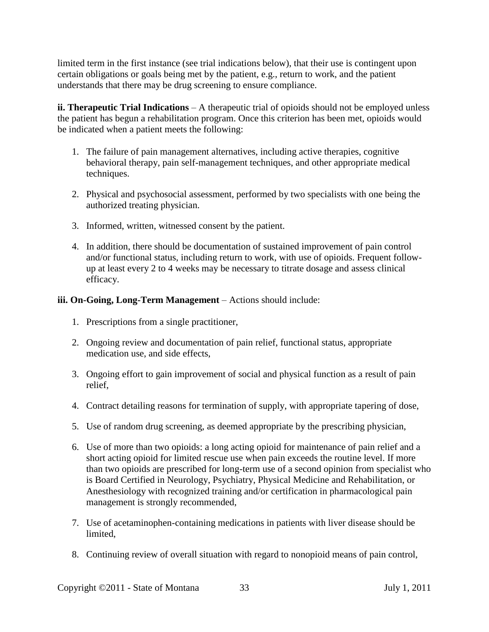limited term in the first instance (see trial indications below), that their use is contingent upon certain obligations or goals being met by the patient, e.g., return to work, and the patient understands that there may be drug screening to ensure compliance.

**ii. Therapeutic Trial Indications** – A therapeutic trial of opioids should not be employed unless the patient has begun a rehabilitation program. Once this criterion has been met, opioids would be indicated when a patient meets the following:

- 1. The failure of pain management alternatives, including active therapies, cognitive behavioral therapy, pain self-management techniques, and other appropriate medical techniques.
- 2. Physical and psychosocial assessment, performed by two specialists with one being the authorized treating physician.
- 3. Informed, written, witnessed consent by the patient.
- 4. In addition, there should be documentation of sustained improvement of pain control and/or functional status, including return to work, with use of opioids. Frequent followup at least every 2 to 4 weeks may be necessary to titrate dosage and assess clinical efficacy.

#### **iii. On-Going, Long-Term Management** – Actions should include:

- 1. Prescriptions from a single practitioner,
- 2. Ongoing review and documentation of pain relief, functional status, appropriate medication use, and side effects,
- 3. Ongoing effort to gain improvement of social and physical function as a result of pain relief,
- 4. Contract detailing reasons for termination of supply, with appropriate tapering of dose,
- 5. Use of random drug screening, as deemed appropriate by the prescribing physician,
- 6. Use of more than two opioids: a long acting opioid for maintenance of pain relief and a short acting opioid for limited rescue use when pain exceeds the routine level. If more than two opioids are prescribed for long-term use of a second opinion from specialist who is Board Certified in Neurology, Psychiatry, Physical Medicine and Rehabilitation, or Anesthesiology with recognized training and/or certification in pharmacological pain management is strongly recommended,
- 7. Use of acetaminophen-containing medications in patients with liver disease should be limited,
- 8. Continuing review of overall situation with regard to nonopioid means of pain control,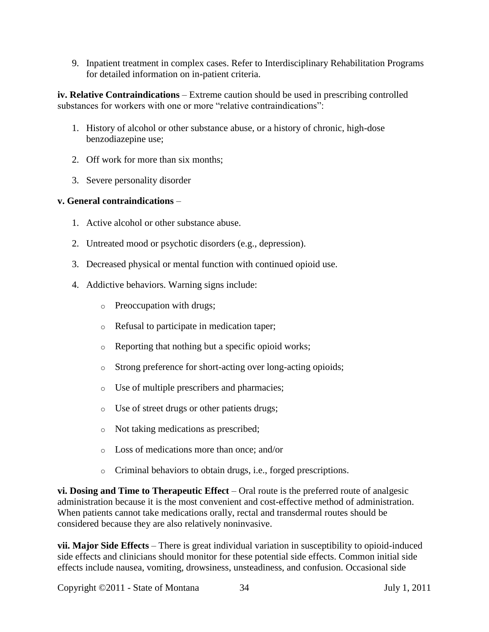9. Inpatient treatment in complex cases. Refer to Interdisciplinary Rehabilitation Programs for detailed information on in-patient criteria.

**iv. Relative Contraindications** – Extreme caution should be used in prescribing controlled substances for workers with one or more "relative contraindications":

- 1. History of alcohol or other substance abuse, or a history of chronic, high-dose benzodiazepine use;
- 2. Off work for more than six months;
- 3. Severe personality disorder

#### **v. General contraindications** –

- 1. Active alcohol or other substance abuse.
- 2. Untreated mood or psychotic disorders (e.g., depression).
- 3. Decreased physical or mental function with continued opioid use.
- 4. Addictive behaviors. Warning signs include:
	- o Preoccupation with drugs;
	- o Refusal to participate in medication taper;
	- o Reporting that nothing but a specific opioid works;
	- o Strong preference for short-acting over long-acting opioids;
	- o Use of multiple prescribers and pharmacies;
	- o Use of street drugs or other patients drugs;
	- o Not taking medications as prescribed;
	- o Loss of medications more than once; and/or
	- o Criminal behaviors to obtain drugs, i.e., forged prescriptions.

**vi. Dosing and Time to Therapeutic Effect** – Oral route is the preferred route of analgesic administration because it is the most convenient and cost-effective method of administration. When patients cannot take medications orally, rectal and transdermal routes should be considered because they are also relatively noninvasive.

**vii. Major Side Effects** – There is great individual variation in susceptibility to opioid-induced side effects and clinicians should monitor for these potential side effects. Common initial side effects include nausea, vomiting, drowsiness, unsteadiness, and confusion. Occasional side

Copyright ©2011 - State of Montana 34 July 1, 2011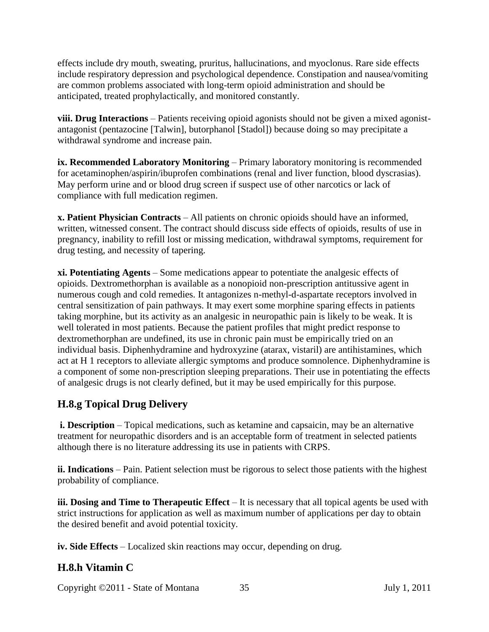effects include dry mouth, sweating, pruritus, hallucinations, and myoclonus. Rare side effects include respiratory depression and psychological dependence. Constipation and nausea/vomiting are common problems associated with long-term opioid administration and should be anticipated, treated prophylactically, and monitored constantly.

**viii. Drug Interactions** – Patients receiving opioid agonists should not be given a mixed agonistantagonist (pentazocine [Talwin], butorphanol [Stadol]) because doing so may precipitate a withdrawal syndrome and increase pain.

**ix. Recommended Laboratory Monitoring – Primary laboratory monitoring is recommended** for acetaminophen/aspirin/ibuprofen combinations (renal and liver function, blood dyscrasias). May perform urine and or blood drug screen if suspect use of other narcotics or lack of compliance with full medication regimen.

**x. Patient Physician Contracts** – All patients on chronic opioids should have an informed, written, witnessed consent. The contract should discuss side effects of opioids, results of use in pregnancy, inability to refill lost or missing medication, withdrawal symptoms, requirement for drug testing, and necessity of tapering.

**xi. Potentiating Agents** – Some medications appear to potentiate the analgesic effects of opioids. Dextromethorphan is available as a nonopioid non-prescription antitussive agent in numerous cough and cold remedies. It antagonizes n-methyl-d-aspartate receptors involved in central sensitization of pain pathways. It may exert some morphine sparing effects in patients taking morphine, but its activity as an analgesic in neuropathic pain is likely to be weak. It is well tolerated in most patients. Because the patient profiles that might predict response to dextromethorphan are undefined, its use in chronic pain must be empirically tried on an individual basis. Diphenhydramine and hydroxyzine (atarax, vistaril) are antihistamines, which act at H 1 receptors to alleviate allergic symptoms and produce somnolence. Diphenhydramine is a component of some non-prescription sleeping preparations. Their use in potentiating the effects of analgesic drugs is not clearly defined, but it may be used empirically for this purpose.

## **H.8.g Topical Drug Delivery**

**i. Description** – Topical medications, such as ketamine and capsaicin, may be an alternative treatment for neuropathic disorders and is an acceptable form of treatment in selected patients although there is no literature addressing its use in patients with CRPS.

**ii. Indications** – Pain. Patient selection must be rigorous to select those patients with the highest probability of compliance.

**iii. Dosing and Time to Therapeutic Effect** – It is necessary that all topical agents be used with strict instructions for application as well as maximum number of applications per day to obtain the desired benefit and avoid potential toxicity.

**iv. Side Effects** – Localized skin reactions may occur, depending on drug.

## **H.8.h Vitamin C**

Copyright ©2011 - State of Montana 35 July 1, 2011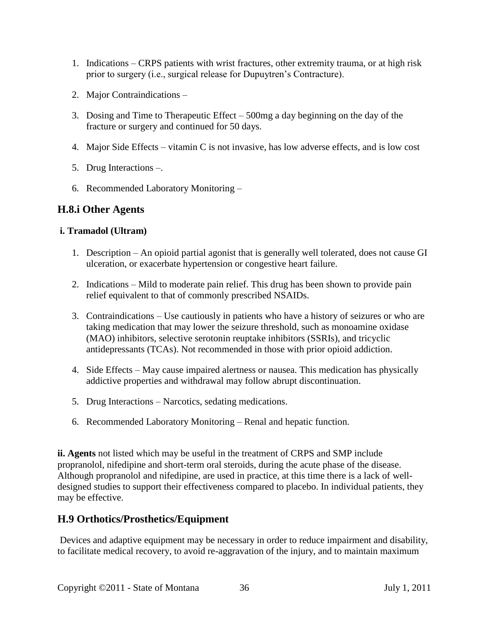- 1. Indications CRPS patients with wrist fractures, other extremity trauma, or at high risk prior to surgery (i.e., surgical release for Dupuytren's Contracture).
- 2. Major Contraindications –
- 3. Dosing and Time to Therapeutic Effect 500mg a day beginning on the day of the fracture or surgery and continued for 50 days.
- 4. Major Side Effects vitamin C is not invasive, has low adverse effects, and is low cost
- 5. Drug Interactions –.
- 6. Recommended Laboratory Monitoring –

#### **H.8.i Other Agents**

#### **i. Tramadol (Ultram)**

- 1. Description An opioid partial agonist that is generally well tolerated, does not cause GI ulceration, or exacerbate hypertension or congestive heart failure.
- 2. Indications Mild to moderate pain relief. This drug has been shown to provide pain relief equivalent to that of commonly prescribed NSAIDs.
- 3. Contraindications Use cautiously in patients who have a history of seizures or who are taking medication that may lower the seizure threshold, such as monoamine oxidase (MAO) inhibitors, selective serotonin reuptake inhibitors (SSRIs), and tricyclic antidepressants (TCAs). Not recommended in those with prior opioid addiction.
- 4. Side Effects May cause impaired alertness or nausea. This medication has physically addictive properties and withdrawal may follow abrupt discontinuation.
- 5. Drug Interactions Narcotics, sedating medications.
- 6. Recommended Laboratory Monitoring Renal and hepatic function.

**ii. Agents** not listed which may be useful in the treatment of CRPS and SMP include propranolol, nifedipine and short-term oral steroids, during the acute phase of the disease. Although propranolol and nifedipine, are used in practice, at this time there is a lack of welldesigned studies to support their effectiveness compared to placebo. In individual patients, they may be effective.

#### <span id="page-36-0"></span>**H.9 Orthotics/Prosthetics/Equipment**

Devices and adaptive equipment may be necessary in order to reduce impairment and disability, to facilitate medical recovery, to avoid re-aggravation of the injury, and to maintain maximum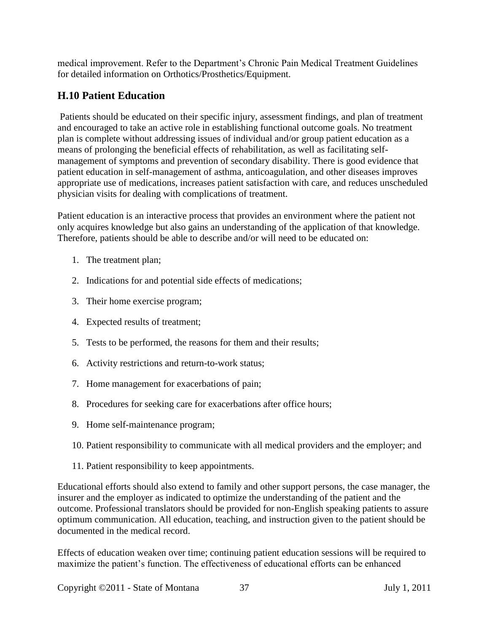medical improvement. Refer to the Department's Chronic Pain Medical Treatment Guidelines for detailed information on Orthotics/Prosthetics/Equipment.

## <span id="page-37-0"></span>**H.10 Patient Education**

Patients should be educated on their specific injury, assessment findings, and plan of treatment and encouraged to take an active role in establishing functional outcome goals. No treatment plan is complete without addressing issues of individual and/or group patient education as a means of prolonging the beneficial effects of rehabilitation, as well as facilitating selfmanagement of symptoms and prevention of secondary disability. There is good evidence that patient education in self-management of asthma, anticoagulation, and other diseases improves appropriate use of medications, increases patient satisfaction with care, and reduces unscheduled physician visits for dealing with complications of treatment.

Patient education is an interactive process that provides an environment where the patient not only acquires knowledge but also gains an understanding of the application of that knowledge. Therefore, patients should be able to describe and/or will need to be educated on:

- 1. The treatment plan;
- 2. Indications for and potential side effects of medications;
- 3. Their home exercise program;
- 4. Expected results of treatment;
- 5. Tests to be performed, the reasons for them and their results;
- 6. Activity restrictions and return-to-work status;
- 7. Home management for exacerbations of pain;
- 8. Procedures for seeking care for exacerbations after office hours;
- 9. Home self-maintenance program;
- 10. Patient responsibility to communicate with all medical providers and the employer; and
- 11. Patient responsibility to keep appointments.

Educational efforts should also extend to family and other support persons, the case manager, the insurer and the employer as indicated to optimize the understanding of the patient and the outcome. Professional translators should be provided for non-English speaking patients to assure optimum communication. All education, teaching, and instruction given to the patient should be documented in the medical record.

Effects of education weaken over time; continuing patient education sessions will be required to maximize the patient's function. The effectiveness of educational efforts can be enhanced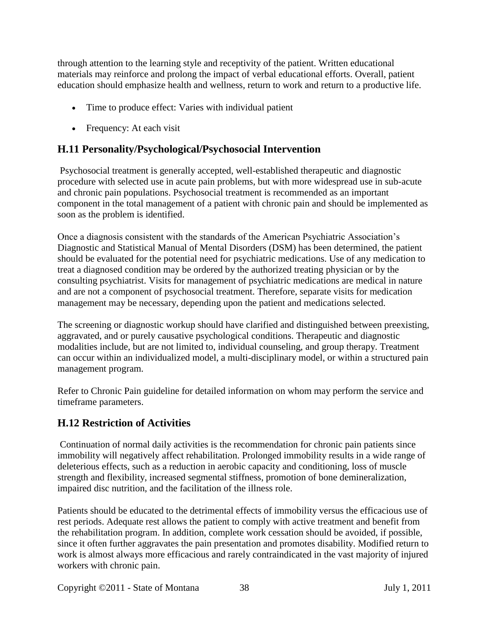through attention to the learning style and receptivity of the patient. Written educational materials may reinforce and prolong the impact of verbal educational efforts. Overall, patient education should emphasize health and wellness, return to work and return to a productive life.

- Time to produce effect: Varies with individual patient
- <span id="page-38-0"></span>• Frequency: At each visit

#### **H.11 Personality/Psychological/Psychosocial Intervention**

Psychosocial treatment is generally accepted, well-established therapeutic and diagnostic procedure with selected use in acute pain problems, but with more widespread use in sub-acute and chronic pain populations. Psychosocial treatment is recommended as an important component in the total management of a patient with chronic pain and should be implemented as soon as the problem is identified.

Once a diagnosis consistent with the standards of the American Psychiatric Association's Diagnostic and Statistical Manual of Mental Disorders (DSM) has been determined, the patient should be evaluated for the potential need for psychiatric medications. Use of any medication to treat a diagnosed condition may be ordered by the authorized treating physician or by the consulting psychiatrist. Visits for management of psychiatric medications are medical in nature and are not a component of psychosocial treatment. Therefore, separate visits for medication management may be necessary, depending upon the patient and medications selected.

The screening or diagnostic workup should have clarified and distinguished between preexisting, aggravated, and or purely causative psychological conditions. Therapeutic and diagnostic modalities include, but are not limited to, individual counseling, and group therapy. Treatment can occur within an individualized model, a multi-disciplinary model, or within a structured pain management program.

Refer to Chronic Pain guideline for detailed information on whom may perform the service and timeframe parameters.

## <span id="page-38-1"></span>**H.12 Restriction of Activities**

Continuation of normal daily activities is the recommendation for chronic pain patients since immobility will negatively affect rehabilitation. Prolonged immobility results in a wide range of deleterious effects, such as a reduction in aerobic capacity and conditioning, loss of muscle strength and flexibility, increased segmental stiffness, promotion of bone demineralization, impaired disc nutrition, and the facilitation of the illness role.

Patients should be educated to the detrimental effects of immobility versus the efficacious use of rest periods. Adequate rest allows the patient to comply with active treatment and benefit from the rehabilitation program. In addition, complete work cessation should be avoided, if possible, since it often further aggravates the pain presentation and promotes disability. Modified return to work is almost always more efficacious and rarely contraindicated in the vast majority of injured workers with chronic pain.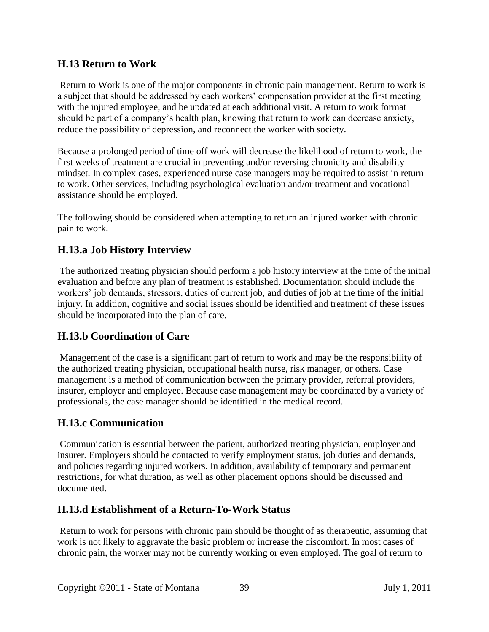#### <span id="page-39-0"></span>**H.13 Return to Work**

Return to Work is one of the major components in chronic pain management. Return to work is a subject that should be addressed by each workers' compensation provider at the first meeting with the injured employee, and be updated at each additional visit. A return to work format should be part of a company's health plan, knowing that return to work can decrease anxiety, reduce the possibility of depression, and reconnect the worker with society.

Because a prolonged period of time off work will decrease the likelihood of return to work, the first weeks of treatment are crucial in preventing and/or reversing chronicity and disability mindset. In complex cases, experienced nurse case managers may be required to assist in return to work. Other services, including psychological evaluation and/or treatment and vocational assistance should be employed.

The following should be considered when attempting to return an injured worker with chronic pain to work.

## **H.13.a Job History Interview**

The authorized treating physician should perform a job history interview at the time of the initial evaluation and before any plan of treatment is established. Documentation should include the workers' job demands, stressors, duties of current job, and duties of job at the time of the initial injury. In addition, cognitive and social issues should be identified and treatment of these issues should be incorporated into the plan of care.

#### **H.13.b Coordination of Care**

Management of the case is a significant part of return to work and may be the responsibility of the authorized treating physician, occupational health nurse, risk manager, or others. Case management is a method of communication between the primary provider, referral providers, insurer, employer and employee. Because case management may be coordinated by a variety of professionals, the case manager should be identified in the medical record.

#### **H.13.c Communication**

Communication is essential between the patient, authorized treating physician, employer and insurer. Employers should be contacted to verify employment status, job duties and demands, and policies regarding injured workers. In addition, availability of temporary and permanent restrictions, for what duration, as well as other placement options should be discussed and documented.

#### **H.13.d Establishment of a Return-To-Work Status**

Return to work for persons with chronic pain should be thought of as therapeutic, assuming that work is not likely to aggravate the basic problem or increase the discomfort. In most cases of chronic pain, the worker may not be currently working or even employed. The goal of return to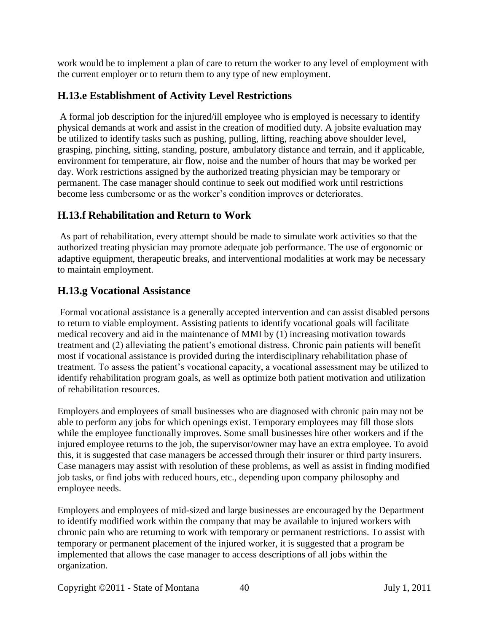work would be to implement a plan of care to return the worker to any level of employment with the current employer or to return them to any type of new employment.

## **H.13.e Establishment of Activity Level Restrictions**

A formal job description for the injured/ill employee who is employed is necessary to identify physical demands at work and assist in the creation of modified duty. A jobsite evaluation may be utilized to identify tasks such as pushing, pulling, lifting, reaching above shoulder level, grasping, pinching, sitting, standing, posture, ambulatory distance and terrain, and if applicable, environment for temperature, air flow, noise and the number of hours that may be worked per day. Work restrictions assigned by the authorized treating physician may be temporary or permanent. The case manager should continue to seek out modified work until restrictions become less cumbersome or as the worker's condition improves or deteriorates.

## **H.13.f Rehabilitation and Return to Work**

As part of rehabilitation, every attempt should be made to simulate work activities so that the authorized treating physician may promote adequate job performance. The use of ergonomic or adaptive equipment, therapeutic breaks, and interventional modalities at work may be necessary to maintain employment.

## **H.13.g Vocational Assistance**

Formal vocational assistance is a generally accepted intervention and can assist disabled persons to return to viable employment. Assisting patients to identify vocational goals will facilitate medical recovery and aid in the maintenance of MMI by (1) increasing motivation towards treatment and (2) alleviating the patient's emotional distress. Chronic pain patients will benefit most if vocational assistance is provided during the interdisciplinary rehabilitation phase of treatment. To assess the patient's vocational capacity, a vocational assessment may be utilized to identify rehabilitation program goals, as well as optimize both patient motivation and utilization of rehabilitation resources.

Employers and employees of small businesses who are diagnosed with chronic pain may not be able to perform any jobs for which openings exist. Temporary employees may fill those slots while the employee functionally improves. Some small businesses hire other workers and if the injured employee returns to the job, the supervisor/owner may have an extra employee. To avoid this, it is suggested that case managers be accessed through their insurer or third party insurers. Case managers may assist with resolution of these problems, as well as assist in finding modified job tasks, or find jobs with reduced hours, etc., depending upon company philosophy and employee needs.

Employers and employees of mid-sized and large businesses are encouraged by the Department to identify modified work within the company that may be available to injured workers with chronic pain who are returning to work with temporary or permanent restrictions. To assist with temporary or permanent placement of the injured worker, it is suggested that a program be implemented that allows the case manager to access descriptions of all jobs within the organization.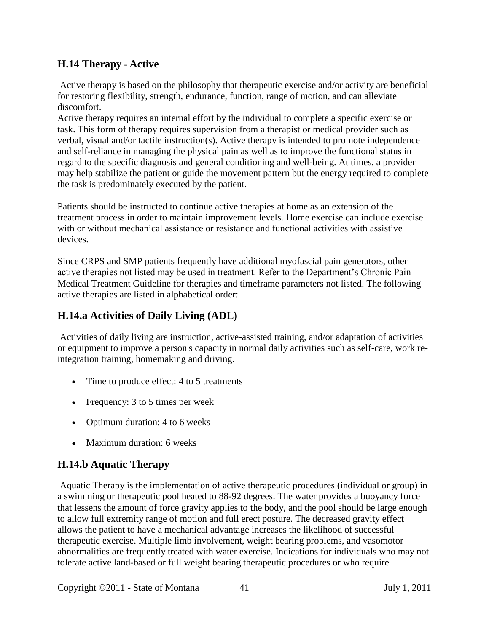## <span id="page-41-0"></span>**H.14 Therapy** - **Active**

Active therapy is based on the philosophy that therapeutic exercise and/or activity are beneficial for restoring flexibility, strength, endurance, function, range of motion, and can alleviate discomfort.

Active therapy requires an internal effort by the individual to complete a specific exercise or task. This form of therapy requires supervision from a therapist or medical provider such as verbal, visual and/or tactile instruction(s). Active therapy is intended to promote independence and self-reliance in managing the physical pain as well as to improve the functional status in regard to the specific diagnosis and general conditioning and well-being. At times, a provider may help stabilize the patient or guide the movement pattern but the energy required to complete the task is predominately executed by the patient.

Patients should be instructed to continue active therapies at home as an extension of the treatment process in order to maintain improvement levels. Home exercise can include exercise with or without mechanical assistance or resistance and functional activities with assistive devices.

Since CRPS and SMP patients frequently have additional myofascial pain generators, other active therapies not listed may be used in treatment. Refer to the Department's Chronic Pain Medical Treatment Guideline for therapies and timeframe parameters not listed. The following active therapies are listed in alphabetical order:

## **H.14.a Activities of Daily Living (ADL)**

Activities of daily living are instruction, active-assisted training, and/or adaptation of activities or equipment to improve a person's capacity in normal daily activities such as self-care, work reintegration training, homemaking and driving.

- Time to produce effect: 4 to 5 treatments
- Frequency: 3 to 5 times per week
- Optimum duration: 4 to 6 weeks
- Maximum duration: 6 weeks

## **H.14.b Aquatic Therapy**

Aquatic Therapy is the implementation of active therapeutic procedures (individual or group) in a swimming or therapeutic pool heated to 88-92 degrees. The water provides a buoyancy force that lessens the amount of force gravity applies to the body, and the pool should be large enough to allow full extremity range of motion and full erect posture. The decreased gravity effect allows the patient to have a mechanical advantage increases the likelihood of successful therapeutic exercise. Multiple limb involvement, weight bearing problems, and vasomotor abnormalities are frequently treated with water exercise. Indications for individuals who may not tolerate active land-based or full weight bearing therapeutic procedures or who require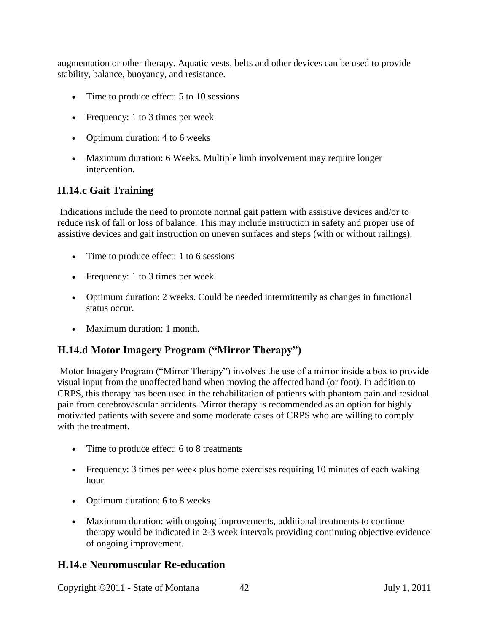augmentation or other therapy. Aquatic vests, belts and other devices can be used to provide stability, balance, buoyancy, and resistance.

- Time to produce effect: 5 to 10 sessions
- Frequency: 1 to 3 times per week
- Optimum duration: 4 to 6 weeks
- Maximum duration: 6 Weeks. Multiple limb involvement may require longer intervention.

## **H.14.c Gait Training**

Indications include the need to promote normal gait pattern with assistive devices and/or to reduce risk of fall or loss of balance. This may include instruction in safety and proper use of assistive devices and gait instruction on uneven surfaces and steps (with or without railings).

- Time to produce effect: 1 to 6 sessions
- Frequency: 1 to 3 times per week
- Optimum duration: 2 weeks. Could be needed intermittently as changes in functional status occur.
- Maximum duration: 1 month.

## **H.14.d Motor Imagery Program ("Mirror Therapy")**

Motor Imagery Program ("Mirror Therapy") involves the use of a mirror inside a box to provide visual input from the unaffected hand when moving the affected hand (or foot). In addition to CRPS, this therapy has been used in the rehabilitation of patients with phantom pain and residual pain from cerebrovascular accidents. Mirror therapy is recommended as an option for highly motivated patients with severe and some moderate cases of CRPS who are willing to comply with the treatment.

- Time to produce effect: 6 to 8 treatments
- Frequency: 3 times per week plus home exercises requiring 10 minutes of each waking hour
- Optimum duration: 6 to 8 weeks
- Maximum duration: with ongoing improvements, additional treatments to continue therapy would be indicated in 2-3 week intervals providing continuing objective evidence of ongoing improvement.

#### **H.14.e Neuromuscular Re-education**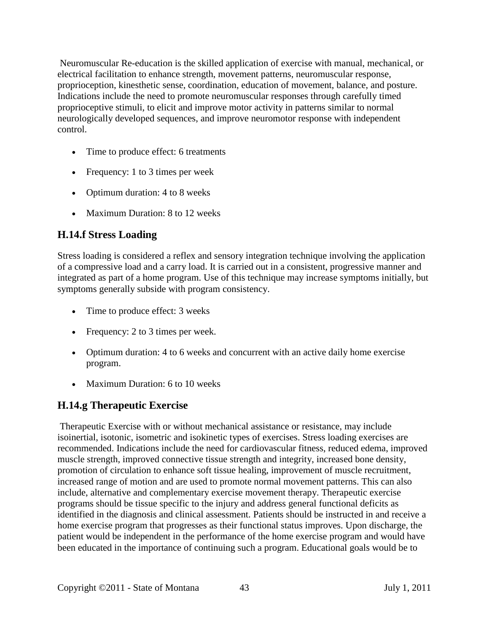Neuromuscular Re-education is the skilled application of exercise with manual, mechanical, or electrical facilitation to enhance strength, movement patterns, neuromuscular response, proprioception, kinesthetic sense, coordination, education of movement, balance, and posture. Indications include the need to promote neuromuscular responses through carefully timed proprioceptive stimuli, to elicit and improve motor activity in patterns similar to normal neurologically developed sequences, and improve neuromotor response with independent control.

- Time to produce effect: 6 treatments
- Frequency: 1 to 3 times per week
- Optimum duration: 4 to 8 weeks
- Maximum Duration: 8 to 12 weeks

#### **H.14.f Stress Loading**

Stress loading is considered a reflex and sensory integration technique involving the application of a compressive load and a carry load. It is carried out in a consistent, progressive manner and integrated as part of a home program. Use of this technique may increase symptoms initially, but symptoms generally subside with program consistency.

- Time to produce effect: 3 weeks
- Frequency: 2 to 3 times per week.
- Optimum duration: 4 to 6 weeks and concurrent with an active daily home exercise program.
- Maximum Duration: 6 to 10 weeks

## **H.14.g Therapeutic Exercise**

Therapeutic Exercise with or without mechanical assistance or resistance, may include isoinertial, isotonic, isometric and isokinetic types of exercises. Stress loading exercises are recommended. Indications include the need for cardiovascular fitness, reduced edema, improved muscle strength, improved connective tissue strength and integrity, increased bone density, promotion of circulation to enhance soft tissue healing, improvement of muscle recruitment, increased range of motion and are used to promote normal movement patterns. This can also include, alternative and complementary exercise movement therapy. Therapeutic exercise programs should be tissue specific to the injury and address general functional deficits as identified in the diagnosis and clinical assessment. Patients should be instructed in and receive a home exercise program that progresses as their functional status improves. Upon discharge, the patient would be independent in the performance of the home exercise program and would have been educated in the importance of continuing such a program. Educational goals would be to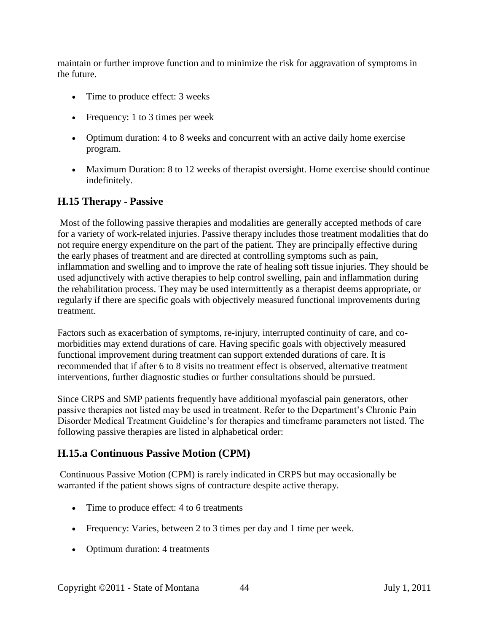maintain or further improve function and to minimize the risk for aggravation of symptoms in the future.

- Time to produce effect: 3 weeks
- Frequency: 1 to 3 times per week
- Optimum duration: 4 to 8 weeks and concurrent with an active daily home exercise program.
- Maximum Duration: 8 to 12 weeks of therapist oversight. Home exercise should continue indefinitely.

#### <span id="page-44-0"></span>**H.15 Therapy** - **Passive**

Most of the following passive therapies and modalities are generally accepted methods of care for a variety of work-related injuries. Passive therapy includes those treatment modalities that do not require energy expenditure on the part of the patient. They are principally effective during the early phases of treatment and are directed at controlling symptoms such as pain, inflammation and swelling and to improve the rate of healing soft tissue injuries. They should be used adjunctively with active therapies to help control swelling, pain and inflammation during the rehabilitation process. They may be used intermittently as a therapist deems appropriate, or regularly if there are specific goals with objectively measured functional improvements during treatment.

Factors such as exacerbation of symptoms, re-injury, interrupted continuity of care, and comorbidities may extend durations of care. Having specific goals with objectively measured functional improvement during treatment can support extended durations of care. It is recommended that if after 6 to 8 visits no treatment effect is observed, alternative treatment interventions, further diagnostic studies or further consultations should be pursued.

Since CRPS and SMP patients frequently have additional myofascial pain generators, other passive therapies not listed may be used in treatment. Refer to the Department's Chronic Pain Disorder Medical Treatment Guideline's for therapies and timeframe parameters not listed. The following passive therapies are listed in alphabetical order:

#### **H.15.a Continuous Passive Motion (CPM)**

Continuous Passive Motion (CPM) is rarely indicated in CRPS but may occasionally be warranted if the patient shows signs of contracture despite active therapy.

- Time to produce effect: 4 to 6 treatments
- Frequency: Varies, between 2 to 3 times per day and 1 time per week.
- Optimum duration: 4 treatments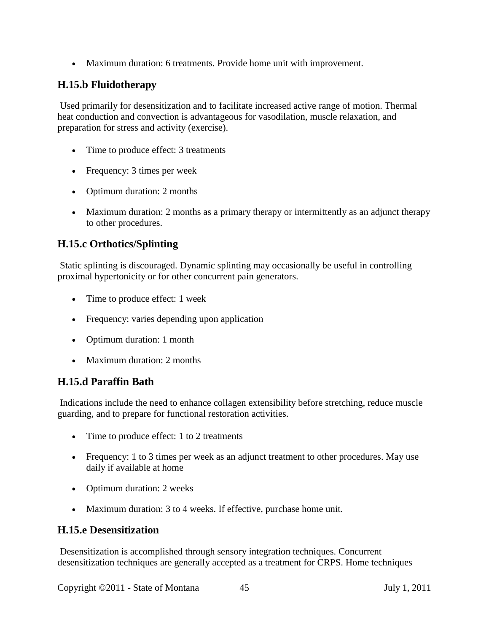• Maximum duration: 6 treatments. Provide home unit with improvement.

## **H.15.b Fluidotherapy**

Used primarily for desensitization and to facilitate increased active range of motion. Thermal heat conduction and convection is advantageous for vasodilation, muscle relaxation, and preparation for stress and activity (exercise).

- Time to produce effect: 3 treatments
- Frequency: 3 times per week
- Optimum duration: 2 months
- Maximum duration: 2 months as a primary therapy or intermittently as an adjunct therapy to other procedures.

## **H.15.c Orthotics/Splinting**

Static splinting is discouraged. Dynamic splinting may occasionally be useful in controlling proximal hypertonicity or for other concurrent pain generators.

- Time to produce effect: 1 week
- Frequency: varies depending upon application
- Optimum duration: 1 month
- Maximum duration: 2 months

## **H.15.d Paraffin Bath**

Indications include the need to enhance collagen extensibility before stretching, reduce muscle guarding, and to prepare for functional restoration activities.

- Time to produce effect: 1 to 2 treatments
- Frequency: 1 to 3 times per week as an adjunct treatment to other procedures. May use daily if available at home
- Optimum duration: 2 weeks
- Maximum duration: 3 to 4 weeks. If effective, purchase home unit.

## **H.15.e Desensitization**

Desensitization is accomplished through sensory integration techniques. Concurrent desensitization techniques are generally accepted as a treatment for CRPS. Home techniques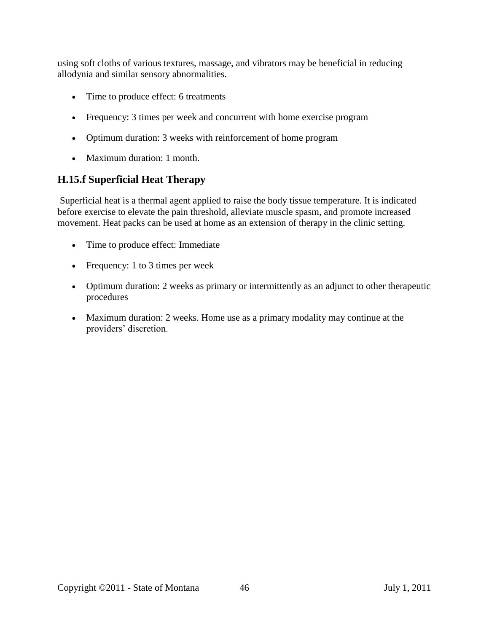using soft cloths of various textures, massage, and vibrators may be beneficial in reducing allodynia and similar sensory abnormalities.

- Time to produce effect: 6 treatments
- Frequency: 3 times per week and concurrent with home exercise program
- Optimum duration: 3 weeks with reinforcement of home program
- Maximum duration: 1 month.

#### **H.15.f Superficial Heat Therapy**

Superficial heat is a thermal agent applied to raise the body tissue temperature. It is indicated before exercise to elevate the pain threshold, alleviate muscle spasm, and promote increased movement. Heat packs can be used at home as an extension of therapy in the clinic setting.

- Time to produce effect: Immediate
- Frequency: 1 to 3 times per week
- Optimum duration: 2 weeks as primary or intermittently as an adjunct to other therapeutic procedures
- Maximum duration: 2 weeks. Home use as a primary modality may continue at the providers' discretion.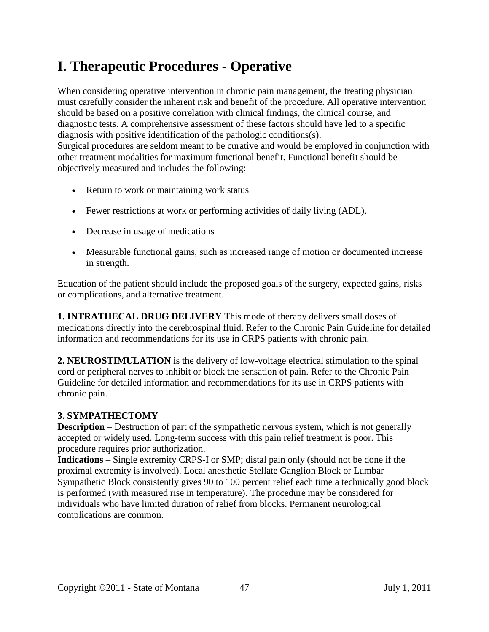# <span id="page-47-0"></span>**I. Therapeutic Procedures - Operative**

When considering operative intervention in chronic pain management, the treating physician must carefully consider the inherent risk and benefit of the procedure. All operative intervention should be based on a positive correlation with clinical findings, the clinical course, and diagnostic tests. A comprehensive assessment of these factors should have led to a specific diagnosis with positive identification of the pathologic conditions(s). Surgical procedures are seldom meant to be curative and would be employed in conjunction with other treatment modalities for maximum functional benefit. Functional benefit should be objectively measured and includes the following:

- Return to work or maintaining work status
- Fewer restrictions at work or performing activities of daily living (ADL).
- Decrease in usage of medications
- Measurable functional gains, such as increased range of motion or documented increase in strength.

Education of the patient should include the proposed goals of the surgery, expected gains, risks or complications, and alternative treatment.

**1. INTRATHECAL DRUG DELIVERY** This mode of therapy delivers small doses of medications directly into the cerebrospinal fluid. Refer to the Chronic Pain Guideline for detailed information and recommendations for its use in CRPS patients with chronic pain.

**2. NEUROSTIMULATION** is the delivery of low-voltage electrical stimulation to the spinal cord or peripheral nerves to inhibit or block the sensation of pain. Refer to the Chronic Pain Guideline for detailed information and recommendations for its use in CRPS patients with chronic pain.

#### **3. SYMPATHECTOMY**

**Description** – Destruction of part of the sympathetic nervous system, which is not generally accepted or widely used. Long-term success with this pain relief treatment is poor. This procedure requires prior authorization.

**Indications** – Single extremity CRPS-I or SMP; distal pain only (should not be done if the proximal extremity is involved). Local anesthetic Stellate Ganglion Block or Lumbar Sympathetic Block consistently gives 90 to 100 percent relief each time a technically good block is performed (with measured rise in temperature). The procedure may be considered for individuals who have limited duration of relief from blocks. Permanent neurological complications are common.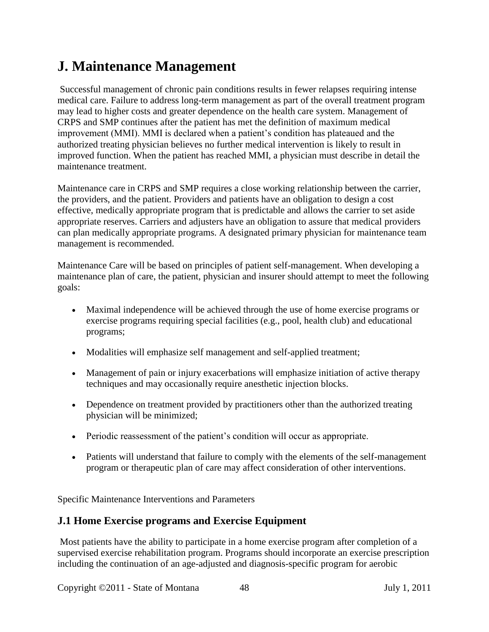# <span id="page-48-0"></span>**J. Maintenance Management**

Successful management of chronic pain conditions results in fewer relapses requiring intense medical care. Failure to address long-term management as part of the overall treatment program may lead to higher costs and greater dependence on the health care system. Management of CRPS and SMP continues after the patient has met the definition of maximum medical improvement (MMI). MMI is declared when a patient's condition has plateaued and the authorized treating physician believes no further medical intervention is likely to result in improved function. When the patient has reached MMI, a physician must describe in detail the maintenance treatment.

Maintenance care in CRPS and SMP requires a close working relationship between the carrier, the providers, and the patient. Providers and patients have an obligation to design a cost effective, medically appropriate program that is predictable and allows the carrier to set aside appropriate reserves. Carriers and adjusters have an obligation to assure that medical providers can plan medically appropriate programs. A designated primary physician for maintenance team management is recommended.

Maintenance Care will be based on principles of patient self-management. When developing a maintenance plan of care, the patient, physician and insurer should attempt to meet the following goals:

- Maximal independence will be achieved through the use of home exercise programs or exercise programs requiring special facilities (e.g., pool, health club) and educational programs;
- Modalities will emphasize self management and self-applied treatment;
- Management of pain or injury exacerbations will emphasize initiation of active therapy techniques and may occasionally require anesthetic injection blocks.
- Dependence on treatment provided by practitioners other than the authorized treating physician will be minimized;
- Periodic reassessment of the patient's condition will occur as appropriate.
- Patients will understand that failure to comply with the elements of the self-management program or therapeutic plan of care may affect consideration of other interventions.

Specific Maintenance Interventions and Parameters

#### **J.1 Home Exercise programs and Exercise Equipment**

Most patients have the ability to participate in a home exercise program after completion of a supervised exercise rehabilitation program. Programs should incorporate an exercise prescription including the continuation of an age-adjusted and diagnosis-specific program for aerobic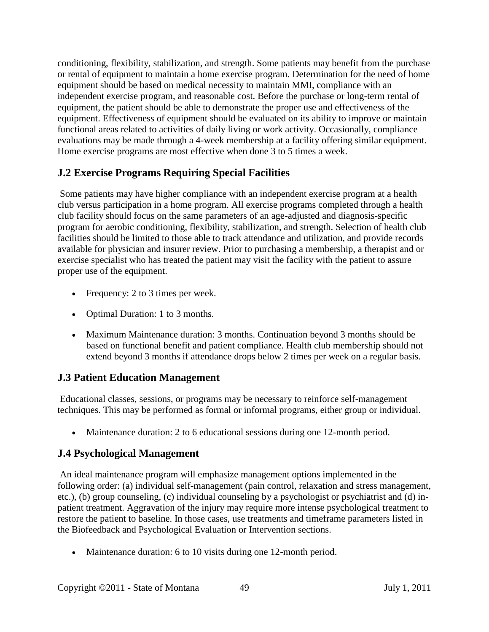conditioning, flexibility, stabilization, and strength. Some patients may benefit from the purchase or rental of equipment to maintain a home exercise program. Determination for the need of home equipment should be based on medical necessity to maintain MMI, compliance with an independent exercise program, and reasonable cost. Before the purchase or long-term rental of equipment, the patient should be able to demonstrate the proper use and effectiveness of the equipment. Effectiveness of equipment should be evaluated on its ability to improve or maintain functional areas related to activities of daily living or work activity. Occasionally, compliance evaluations may be made through a 4-week membership at a facility offering similar equipment. Home exercise programs are most effective when done 3 to 5 times a week.

## **J.2 Exercise Programs Requiring Special Facilities**

Some patients may have higher compliance with an independent exercise program at a health club versus participation in a home program. All exercise programs completed through a health club facility should focus on the same parameters of an age-adjusted and diagnosis-specific program for aerobic conditioning, flexibility, stabilization, and strength. Selection of health club facilities should be limited to those able to track attendance and utilization, and provide records available for physician and insurer review. Prior to purchasing a membership, a therapist and or exercise specialist who has treated the patient may visit the facility with the patient to assure proper use of the equipment.

- Frequency: 2 to 3 times per week.
- Optimal Duration: 1 to 3 months.
- Maximum Maintenance duration: 3 months. Continuation beyond 3 months should be based on functional benefit and patient compliance. Health club membership should not extend beyond 3 months if attendance drops below 2 times per week on a regular basis.

## **J.3 Patient Education Management**

Educational classes, sessions, or programs may be necessary to reinforce self-management techniques. This may be performed as formal or informal programs, either group or individual.

• Maintenance duration: 2 to 6 educational sessions during one 12-month period.

## **J.4 Psychological Management**

An ideal maintenance program will emphasize management options implemented in the following order: (a) individual self-management (pain control, relaxation and stress management, etc.), (b) group counseling, (c) individual counseling by a psychologist or psychiatrist and (d) inpatient treatment. Aggravation of the injury may require more intense psychological treatment to restore the patient to baseline. In those cases, use treatments and timeframe parameters listed in the Biofeedback and Psychological Evaluation or Intervention sections.

• Maintenance duration: 6 to 10 visits during one 12-month period.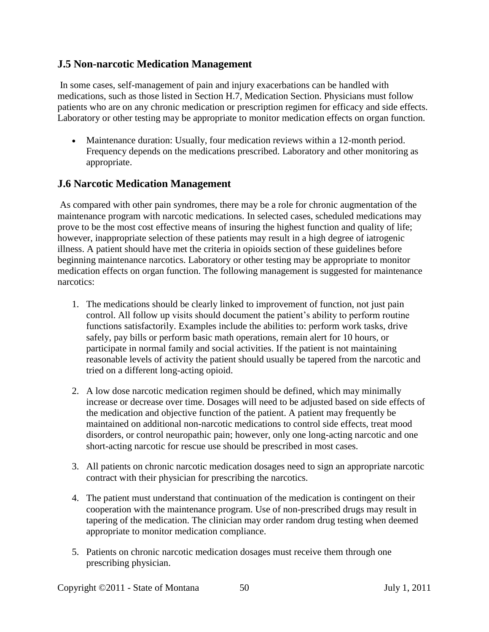#### **J.5 Non-narcotic Medication Management**

In some cases, self-management of pain and injury exacerbations can be handled with medications, such as those listed in Section H.7, Medication Section. Physicians must follow patients who are on any chronic medication or prescription regimen for efficacy and side effects. Laboratory or other testing may be appropriate to monitor medication effects on organ function.

• Maintenance duration: Usually, four medication reviews within a 12-month period. Frequency depends on the medications prescribed. Laboratory and other monitoring as appropriate.

#### **J.6 Narcotic Medication Management**

As compared with other pain syndromes, there may be a role for chronic augmentation of the maintenance program with narcotic medications. In selected cases, scheduled medications may prove to be the most cost effective means of insuring the highest function and quality of life; however, inappropriate selection of these patients may result in a high degree of iatrogenic illness. A patient should have met the criteria in opioids section of these guidelines before beginning maintenance narcotics. Laboratory or other testing may be appropriate to monitor medication effects on organ function. The following management is suggested for maintenance narcotics:

- 1. The medications should be clearly linked to improvement of function, not just pain control. All follow up visits should document the patient's ability to perform routine functions satisfactorily. Examples include the abilities to: perform work tasks, drive safely, pay bills or perform basic math operations, remain alert for 10 hours, or participate in normal family and social activities. If the patient is not maintaining reasonable levels of activity the patient should usually be tapered from the narcotic and tried on a different long-acting opioid.
- 2. A low dose narcotic medication regimen should be defined, which may minimally increase or decrease over time. Dosages will need to be adjusted based on side effects of the medication and objective function of the patient. A patient may frequently be maintained on additional non-narcotic medications to control side effects, treat mood disorders, or control neuropathic pain; however, only one long-acting narcotic and one short-acting narcotic for rescue use should be prescribed in most cases.
- 3. All patients on chronic narcotic medication dosages need to sign an appropriate narcotic contract with their physician for prescribing the narcotics.
- 4. The patient must understand that continuation of the medication is contingent on their cooperation with the maintenance program. Use of non-prescribed drugs may result in tapering of the medication. The clinician may order random drug testing when deemed appropriate to monitor medication compliance.
- 5. Patients on chronic narcotic medication dosages must receive them through one prescribing physician.